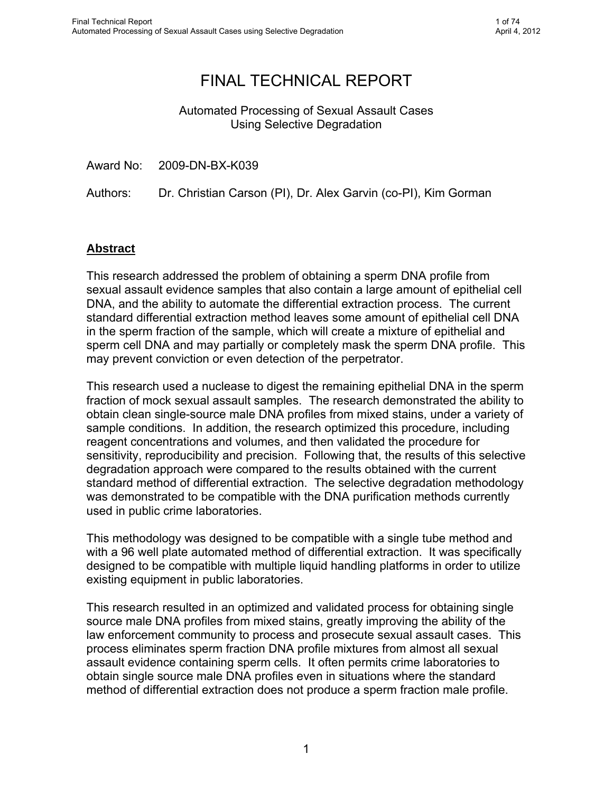**The author(s) shown below used Federal funds provided by the U.S. Department of Justice and prepared the following final report:**

| <b>Document Title:</b> | <b>Automated Processing of Sexual Assault Cases</b><br><b>Using Selective Degradation</b> |
|------------------------|-------------------------------------------------------------------------------------------|
| Author(s):             | Dr. Christian Carson, Dr. Alex Garvin, Kim<br>Gorman                                      |
| <b>Document No.:</b>   | 241332                                                                                    |
| <b>Date Received:</b>  | February 2013                                                                             |
| <b>Award Number:</b>   | 2009-DN-BX-K039                                                                           |

**This report has not been published by the U.S. Department of Justice. To provide better customer service, NCJRS has made this Federallyfunded grant report available electronically.** 

> **Opinions or points of view expressed are those of the author(s) and do not necessarily reflect the official position or policies of the U.S. Department of Justice.**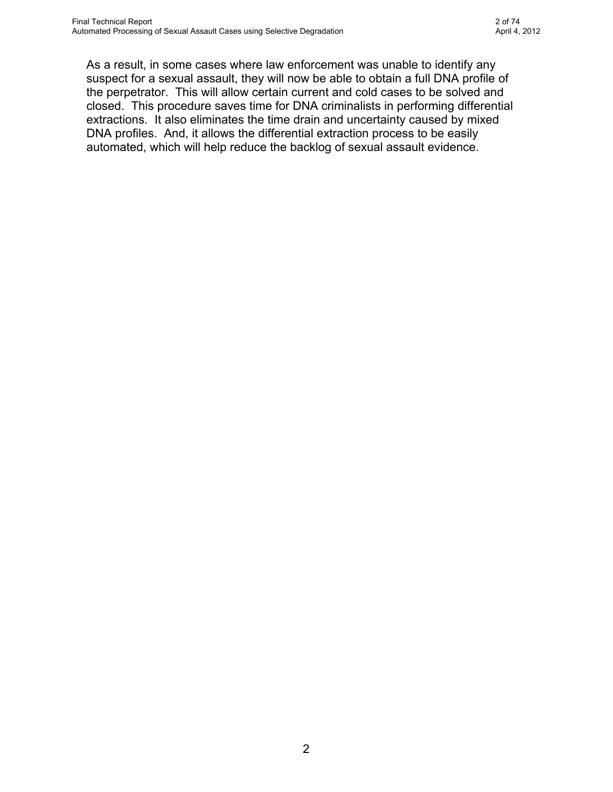# FINAL TECHNICAL REPORT

## Automated Processing of Sexual Assault Cases Using Selective Degradation

Award No: 2009-DN-BX-K039

Authors: Dr. Christian Carson (PI), Dr. Alex Garvin (co-PI), Kim Gorman

## **Abstract**

This research addressed the problem of obtaining a sperm DNA profile from sexual assault evidence samples that also contain a large amount of epithelial cell DNA, and the ability to automate the differential extraction process. The current standard differential extraction method leaves some amount of epithelial cell DNA in the sperm fraction of the sample, which will create a mixture of epithelial and sperm cell DNA and may partially or completely mask the sperm DNA profile. This may prevent conviction or even detection of the perpetrator.

This research used a nuclease to digest the remaining epithelial DNA in the sperm fraction of mock sexual assault samples. The research demonstrated the ability to obtain clean single-source male DNA profiles from mixed stains, under a variety of sample conditions. In addition, the research optimized this procedure, including reagent concentrations and volumes, and then validated the procedure for sensitivity, reproducibility and precision. Following that, the results of this selective degradation approach were compared to the results obtained with the current standard method of differential extraction. The selective degradation methodology was demonstrated to be compatible with the DNA purification methods currently used in public crime laboratories.

This methodology was designed to be compatible with a single tube method and with a 96 well plate automated method of differential extraction. It was specifically designed to be compatible with multiple liquid handling platforms in order to utilize existing equipment in public laboratories.

This research resulted in an optimized and validated process for obtaining single source male DNA profiles from mixed stains, greatly improving the ability of the law enforcement community to process and prosecute sexual assault cases. This process eliminates sperm fraction DNA profile mixtures from almost all sexual assault evidence containing sperm cells. It often permits crime laboratories to obtain single source male DNA profiles even in situations where the standard method of differential extraction does not produce a sperm fraction male profile.

> This document is a research report submitted to the U.S. Department of Justice. This report has not been published by the Department. Opinions or points of view expressed are those of the author(s) and do not necessarily reflect the official position or policies of the U.S. Department of Justice.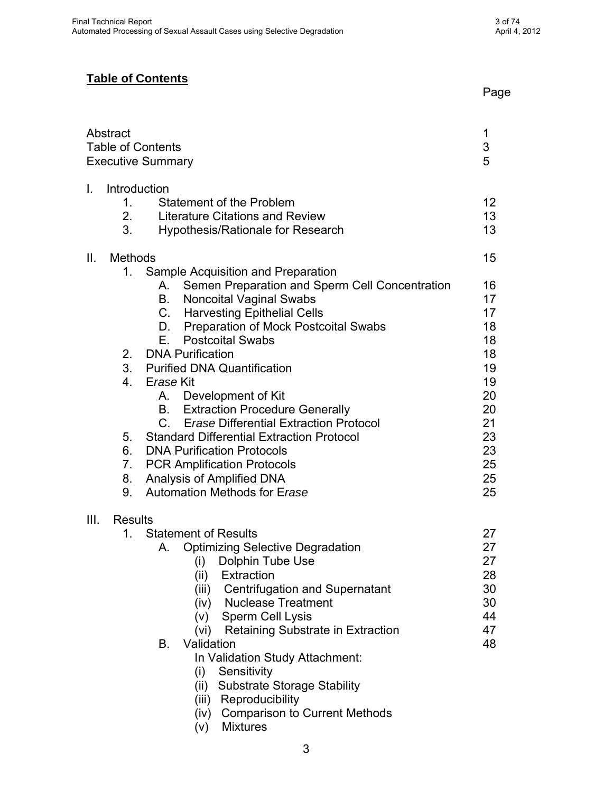As a result, in some cases where law enforcement was unable to identify any suspect for a sexual assault, they will now be able to obtain a full DNA profile of the perpetrator. This will allow certain current and cold cases to be solved and closed. This procedure saves time for DNA criminalists in performing differential extractions. It also eliminates the time drain and uncertainty caused by mixed DNA profiles. And, it allows the differential extraction process to be easily automated, which will help reduce the backlog of sexual assault evidence.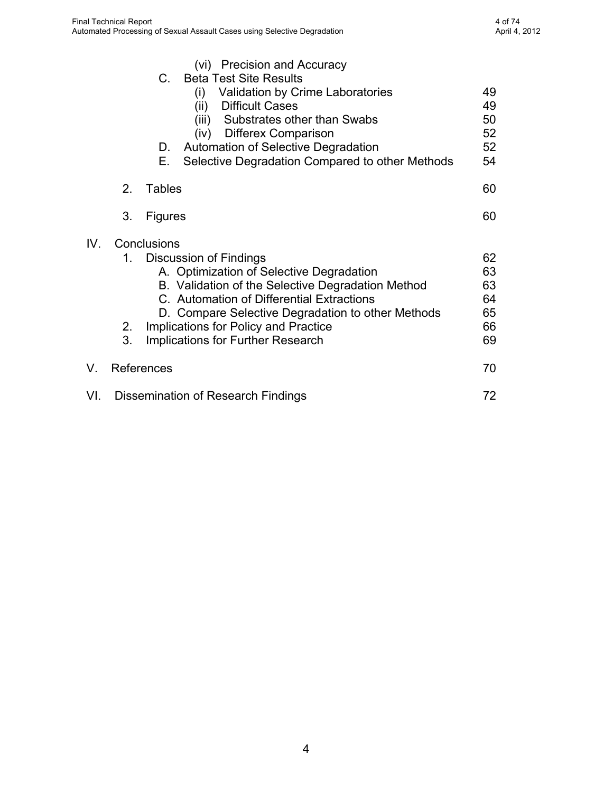## **Table of Contents**

|      | Abstract                                                       | <b>Table of Contents</b><br><b>Executive Summary</b>                                                                                                                                                                                                                                                                                                                                                                                                                                                                                                                                                                                                                                  | 1<br>3<br>5                                                                                        |
|------|----------------------------------------------------------------|---------------------------------------------------------------------------------------------------------------------------------------------------------------------------------------------------------------------------------------------------------------------------------------------------------------------------------------------------------------------------------------------------------------------------------------------------------------------------------------------------------------------------------------------------------------------------------------------------------------------------------------------------------------------------------------|----------------------------------------------------------------------------------------------------|
| I.   | Introduction<br>1.<br>2.<br>3.                                 | Statement of the Problem<br><b>Literature Citations and Review</b><br><b>Hypothesis/Rationale for Research</b>                                                                                                                                                                                                                                                                                                                                                                                                                                                                                                                                                                        | 12<br>13 <sup>°</sup><br>13                                                                        |
| Ⅱ.   | <b>Methods</b><br>1.<br>2.<br>4.<br>5.<br>6.<br>7.<br>8.<br>9. | Sample Acquisition and Preparation<br>Semen Preparation and Sperm Cell Concentration<br>А.<br><b>Noncoital Vaginal Swabs</b><br>В.<br><b>Harvesting Epithelial Cells</b><br>C.<br>Preparation of Mock Postcoital Swabs<br>D.<br><b>Postcoital Swabs</b><br>Е.<br><b>DNA Purification</b><br>3. Purified DNA Quantification<br>Erase Kit<br>Development of Kit<br>А.<br><b>Extraction Procedure Generally</b><br>B.<br>$C_{\cdot}$<br><b>Erase Differential Extraction Protocol</b><br><b>Standard Differential Extraction Protocol</b><br><b>DNA Purification Protocols</b><br><b>PCR Amplification Protocols</b><br>Analysis of Amplified DNA<br><b>Automation Methods for Erase</b> | 15<br>16<br>17<br>17<br>18<br>18<br>18<br>19<br>19<br>20<br>20<br>21<br>23<br>23<br>25<br>25<br>25 |
| III. | <b>Results</b><br>1.                                           | <b>Statement of Results</b><br><b>Optimizing Selective Degradation</b><br>Α.<br>(i) Dolphin Tube Use<br>(ii)<br>Extraction<br><b>Centrifugation and Supernatant</b><br>(iii)<br>(iv) Nuclease Treatment<br>(v) Sperm Cell Lysis<br>(vi) Retaining Substrate in Extraction<br>Validation<br>В.<br>In Validation Study Attachment:<br>Sensitivity<br>(i)<br><b>Substrate Storage Stability</b><br>(ii)<br>(iii) Reproducibility<br>(iv) Comparison to Current Methods<br><b>Mixtures</b><br>(V)                                                                                                                                                                                         | 27<br>27<br>27<br>28<br>30<br>30<br>44<br>47<br>48                                                 |

and the contract of the contract of the contract of the contract of the contract of the contract of the contract of the contract of the contract of the contract of the contract of the contract of the contract of the contra

This document is a research report submitted to the U.S. Department of Justice. This report has not been published by the Department. Opinions or points of view expressed are those of the author(s) and do not necessarily reflect the official position or policies of the U.S. Department of Justice.

3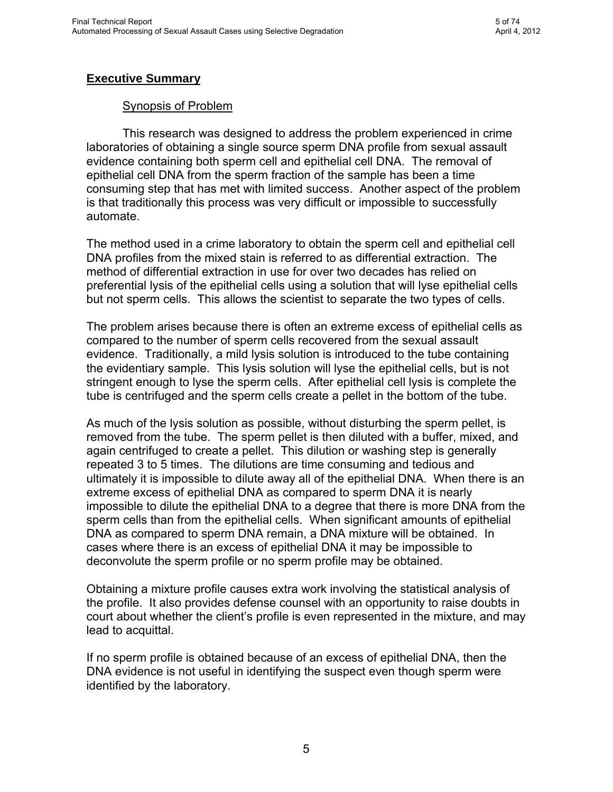|     |                                           | (vi) Precision and Accuracy<br>C.<br><b>Beta Test Site Results</b><br><b>Validation by Crime Laboratories</b><br>(i)<br><b>Difficult Cases</b><br>(ii)<br>Substrates other than Swabs<br>(iii)<br>(iv)<br><b>Differex Comparison</b><br>Automation of Selective Degradation<br>D.<br>Е.<br>Selective Degradation Compared to other Methods | 49<br>49<br>50<br>52<br>52<br>54       |
|-----|-------------------------------------------|--------------------------------------------------------------------------------------------------------------------------------------------------------------------------------------------------------------------------------------------------------------------------------------------------------------------------------------------|----------------------------------------|
|     | 2 <sub>1</sub>                            | <b>Tables</b>                                                                                                                                                                                                                                                                                                                              | 60                                     |
|     | 3.                                        | <b>Figures</b>                                                                                                                                                                                                                                                                                                                             | 60                                     |
| IV. | $1_{-}$<br>2.<br>3.                       | Conclusions<br><b>Discussion of Findings</b><br>A. Optimization of Selective Degradation<br>B. Validation of the Selective Degradation Method<br>C. Automation of Differential Extractions<br>D. Compare Selective Degradation to other Methods<br>Implications for Policy and Practice<br>Implications for Further Research               | 62<br>63<br>63<br>64<br>65<br>66<br>69 |
| V.  |                                           | References                                                                                                                                                                                                                                                                                                                                 | 70                                     |
| VI. | <b>Dissemination of Research Findings</b> |                                                                                                                                                                                                                                                                                                                                            | 72                                     |

This document is a research report submitted to the U.S. Department of Justice. This report has not been published by the Department. Opinions or points of view expressed are those of the author(s) and do not necessarily reflect the official position or policies of the U.S. Department of Justice.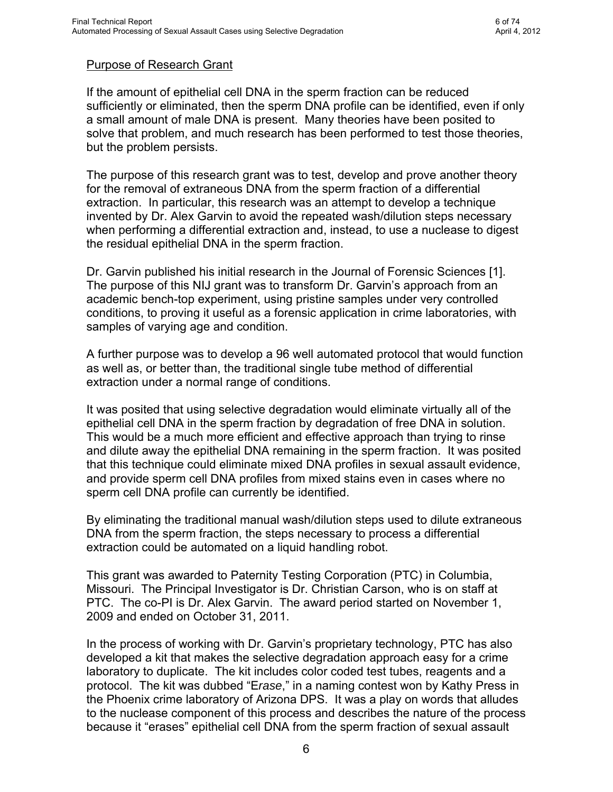## **Executive Summary**

### Synopsis of Problem

 This research was designed to address the problem experienced in crime laboratories of obtaining a single source sperm DNA profile from sexual assault evidence containing both sperm cell and epithelial cell DNA. The removal of epithelial cell DNA from the sperm fraction of the sample has been a time consuming step that has met with limited success. Another aspect of the problem is that traditionally this process was very difficult or impossible to successfully automate.

The method used in a crime laboratory to obtain the sperm cell and epithelial cell DNA profiles from the mixed stain is referred to as differential extraction. The method of differential extraction in use for over two decades has relied on preferential lysis of the epithelial cells using a solution that will lyse epithelial cells but not sperm cells. This allows the scientist to separate the two types of cells.

The problem arises because there is often an extreme excess of epithelial cells as compared to the number of sperm cells recovered from the sexual assault evidence. Traditionally, a mild lysis solution is introduced to the tube containing the evidentiary sample. This lysis solution will lyse the epithelial cells, but is not stringent enough to lyse the sperm cells. After epithelial cell lysis is complete the tube is centrifuged and the sperm cells create a pellet in the bottom of the tube.

As much of the lysis solution as possible, without disturbing the sperm pellet, is removed from the tube. The sperm pellet is then diluted with a buffer, mixed, and again centrifuged to create a pellet. This dilution or washing step is generally repeated 3 to 5 times. The dilutions are time consuming and tedious and ultimately it is impossible to dilute away all of the epithelial DNA. When there is an extreme excess of epithelial DNA as compared to sperm DNA it is nearly impossible to dilute the epithelial DNA to a degree that there is more DNA from the sperm cells than from the epithelial cells. When significant amounts of epithelial DNA as compared to sperm DNA remain, a DNA mixture will be obtained. In cases where there is an excess of epithelial DNA it may be impossible to deconvolute the sperm profile or no sperm profile may be obtained.

Obtaining a mixture profile causes extra work involving the statistical analysis of the profile. It also provides defense counsel with an opportunity to raise doubts in court about whether the client's profile is even represented in the mixture, and may lead to acquittal.

If no sperm profile is obtained because of an excess of epithelial DNA, then the DNA evidence is not useful in identifying the suspect even though sperm were identified by the laboratory.

> This document is a research report submitted to the U.S. Department of Justice. This report has not been published by the Department. Opinions or points of view expressed are those of the author(s) and do not necessarily reflect the official position or policies of the U.S. Department of Justice.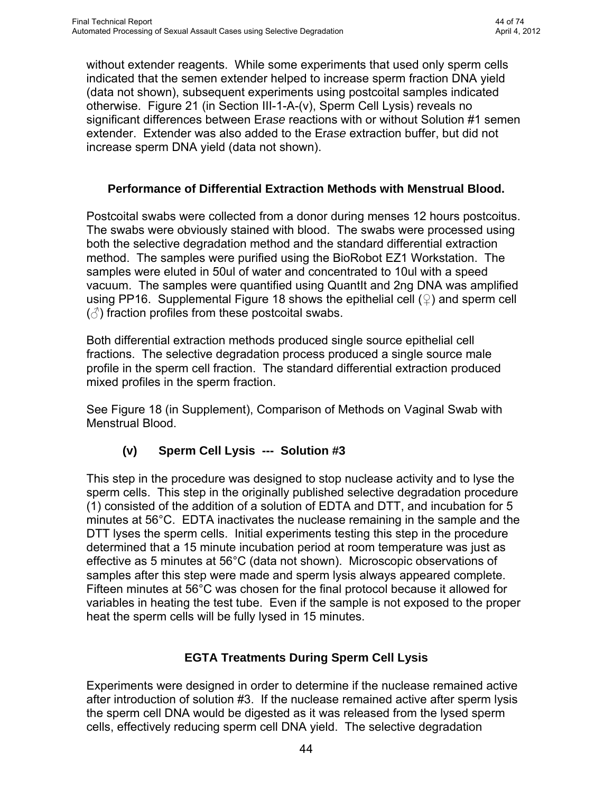excess of 5 minutes generally gave balanced X and Y Amelogenin amplification. However, some postcoital swabs did not give balanced Y and X Amelogenin peaks until 15 minutes of nuclease incubation time. Earlier experiments indicated that at 0 minutes of nuclease incubation time there was a significant amount of epithelial DNA remaining in the sperm fraction.

This experiment indicates that a 15 minute incubation time is optimal for elimination of the epithelial cell DNA from the sperm fraction.

| <b>Swab</b>                           |     | <b>PC16</b> | <b>PC22</b> |     |     | <b>PC49</b> | <b>PC75</b> |       | <b>PC77</b> |     | <b>PC80</b> |     | <b>PC67</b> |       |
|---------------------------------------|-----|-------------|-------------|-----|-----|-------------|-------------|-------|-------------|-----|-------------|-----|-------------|-------|
| <b>Hours postcoital</b>               |     | 0-6         |             | 0-6 |     | 25-30       |             | 31-36 | $31 - 36$   |     | $37 - 42$   |     |             | 43-48 |
| <b>Incubation Time (minutes)</b>      |     | 5           |             | 5   |     | 15          |             | 15    | ∽           | 15  |             | 15  |             | 15    |
| <b>Percent Y</b><br><b>Amelogenin</b> | 49% | 50%         | 45%         | 49% | 49% | 50%         | 28%         | 50%   | 32%         | 50% | 41%         | 47% | 34%         | 49%   |
| <b>Ilmprovement</b>                   |     | $1\%$       | 4%          |     |     | $1\%$       | 22%         |       | 21%         |     | 6%          |     |             | 15%   |

#### **Table 1, Summary of Incubation Time Data**

**Summary of data comparing nuclease incubation times of 5 minutes and 15 minutes. Percent Y Amelogenin values were determined by dividing the Y Amelogenin peak value by the sum of X and Y Amelogenin peak values. Thus, 50% Y Amelogenin values indicate equal X and Y peaks and that therefore the sperm cell DNA fraction consisted of only male DNA. The data indicate that while the epithelial cell DNA was eliminated from some samples in 5 minutes, others required a 15 minute incubation before Y Amelogenin peak values were equal to the X Amelogenin peak values.** 

# **(iv)(k) Additional Nuclease Variables Considered**

## **Spiking with Extra Nuclease**

During the developmental optimization stages, there were occurrences of apparent incomplete digestion of epithelial cells. Experiments were designed to determine if nuclease added sequentially with additional incubation time periods would eliminate excess epithelial DNA. Spiking with extra nuclease for longer incubation times did not help to remove excess epithelial cell DNA (data not shown). It is not know if the remaining epithelial DNA is due to incomplete epithelial cell lysis or the inability of the nuclease to degrade all of the DNA.

## **Semen Extender to Protect Sperm from Nuclease**

As noted previously, sperm cells that had been hydrated from dried samples were intact morphologically. However, there were indications that the nuclease was digesting some of the sperm DNA. This experiment was designed to determine if protecting the sperm cells using semen extender would shield the sperm DNA from the nucleae. Semen extender has been used to protect living sperm cells from freezing and thawing damage and subsequent chromatin damage (4). For the purpose of protecting forensic sperm cells from damage during the selective degradation extraction process, semen extender was prepared in Solution #1 of the Er*ase* extraction kit using two of the main ingredients found in human semen extenders. Er*ase* extractions were run in triplicate comparing Solution #1 with and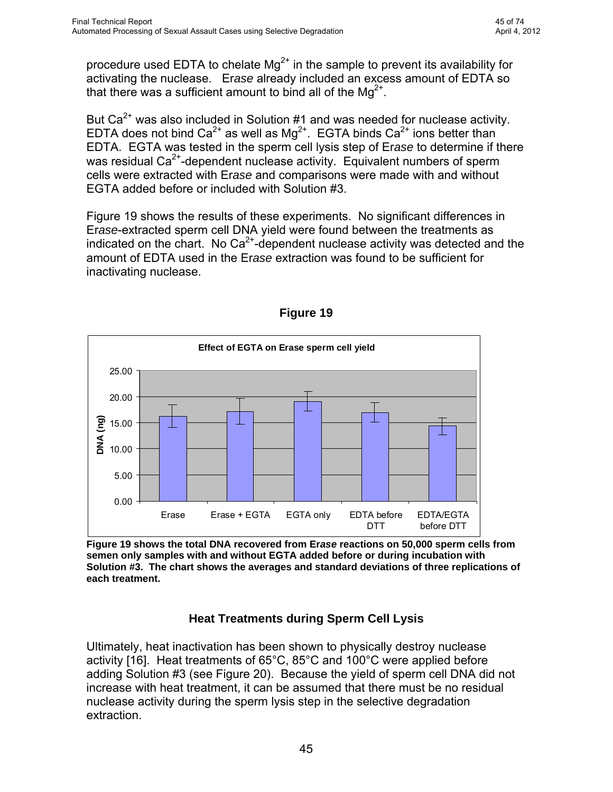without extender reagents. While some experiments that used only sperm cells indicated that the semen extender helped to increase sperm fraction DNA yield (data not shown), subsequent experiments using postcoital samples indicated otherwise. Figure 21 (in Section III-1-A-(v), Sperm Cell Lysis) reveals no significant differences between Er*ase* reactions with or without Solution #1 semen extender. Extender was also added to the Er*ase* extraction buffer, but did not increase sperm DNA yield (data not shown).

#### **Performance of Differential Extraction Methods with Menstrual Blood.**

Postcoital swabs were collected from a donor during menses 12 hours postcoitus. The swabs were obviously stained with blood. The swabs were processed using both the selective degradation method and the standard differential extraction method. The samples were purified using the BioRobot EZ1 Workstation. The samples were eluted in 50ul of water and concentrated to 10ul with a speed vacuum. The samples were quantified using QuantIt and 2ng DNA was amplified using PP16. Supplemental Figure 18 shows the epithelial cell  $($ 2) and sperm cell  $(\text{A})$  fraction profiles from these postcoital swabs.

Both differential extraction methods produced single source epithelial cell fractions. The selective degradation process produced a single source male profile in the sperm cell fraction. The standard differential extraction produced mixed profiles in the sperm fraction.

See Figure 18 (in Supplement), Comparison of Methods on Vaginal Swab with Menstrual Blood.

## **(v) Sperm Cell Lysis --- Solution #3**

This step in the procedure was designed to stop nuclease activity and to lyse the sperm cells. This step in the originally published selective degradation procedure (1) consisted of the addition of a solution of EDTA and DTT, and incubation for 5 minutes at 56°C. EDTA inactivates the nuclease remaining in the sample and the DTT lyses the sperm cells. Initial experiments testing this step in the procedure determined that a 15 minute incubation period at room temperature was just as effective as 5 minutes at 56°C (data not shown). Microscopic observations of samples after this step were made and sperm lysis always appeared complete. Fifteen minutes at 56°C was chosen for the final protocol because it allowed for variables in heating the test tube. Even if the sample is not exposed to the proper heat the sperm cells will be fully lysed in 15 minutes.

## **EGTA Treatments During Sperm Cell Lysis**

Experiments were designed in order to determine if the nuclease remained active after introduction of solution #3. If the nuclease remained active after sperm lysis the sperm cell DNA would be digested as it was released from the lysed sperm cells, effectively reducing sperm cell DNA yield. The selective degradation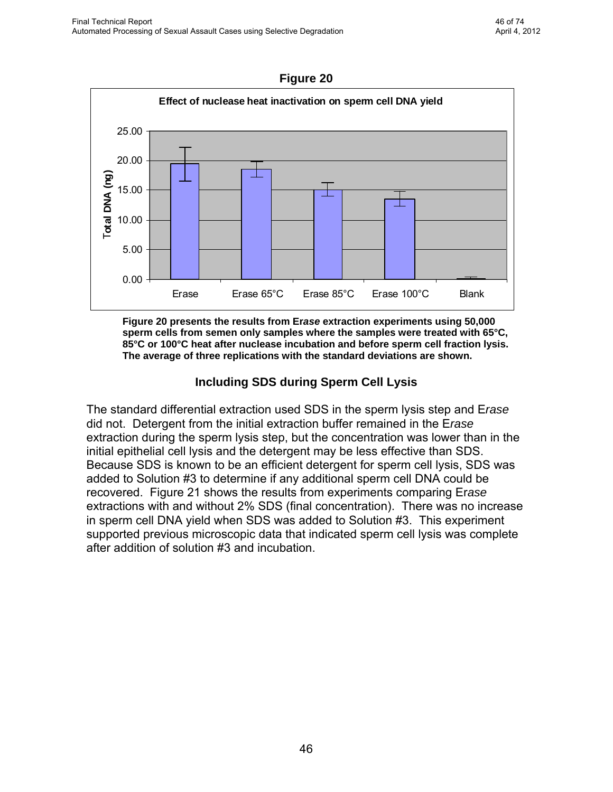procedure used EDTA to chelate  $Mg^{2+}$  in the sample to prevent its availability for activating the nuclease. Er*ase* already included an excess amount of EDTA so that there was a sufficient amount to bind all of the  $\text{Mg}^{2+}$ .

But  $Ca<sup>2+</sup>$  was also included in Solution #1 and was needed for nuclease activity. EDTA does not bind  $Ca^{2+}$  as well as  $Mg^{2+}$ . EGTA binds  $Ca^{2+}$  ions better than EDTA. EGTA was tested in the sperm cell lysis step of Er*ase* to determine if there was residual  $Ca<sup>2+</sup>$ -dependent nuclease activity. Equivalent numbers of sperm cells were extracted with Er*ase* and comparisons were made with and without EGTA added before or included with Solution #3.

Figure 19 shows the results of these experiments. No significant differences in Er*ase*-extracted sperm cell DNA yield were found between the treatments as indicated on the chart. No Ca2+-dependent nuclease activity was detected and the amount of EDTA used in the Er*ase* extraction was found to be sufficient for inactivating nuclease.



**Figure 19** 

**Figure 19 shows the total DNA recovered from Er***ase* **reactions on 50,000 sperm cells from semen only samples with and without EGTA added before or during incubation with Solution #3. The chart shows the averages and standard deviations of three replications of each treatment.** 

## **Heat Treatments during Sperm Cell Lysis**

Ultimately, heat inactivation has been shown to physically destroy nuclease activity [16]. Heat treatments of 65°C, 85°C and 100°C were applied before adding Solution #3 (see Figure 20). Because the yield of sperm cell DNA did not increase with heat treatment, it can be assumed that there must be no residual nuclease activity during the sperm lysis step in the selective degradation extraction.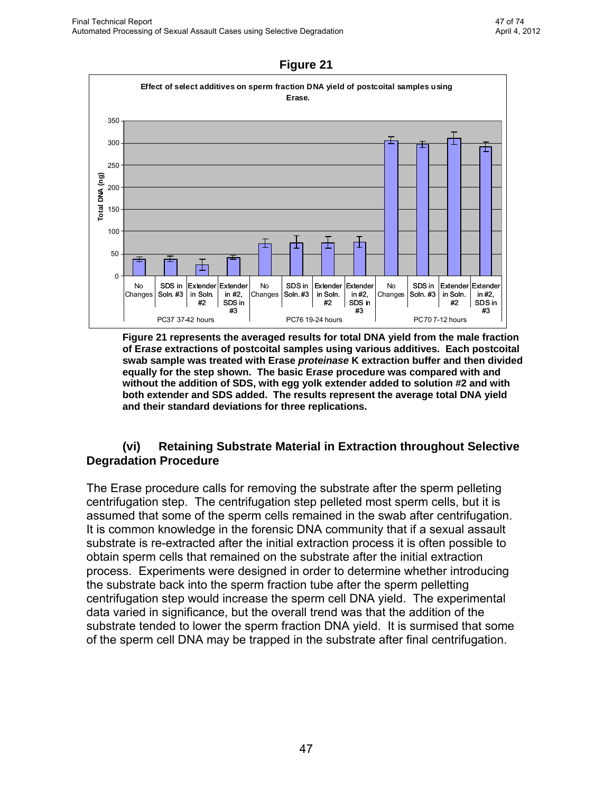

**Figure 20 presents the results from Er***ase* **extraction experiments using 50,000 sperm cells from semen only samples where the samples were treated with 65°C, 85°C or 100°C heat after nuclease incubation and before sperm cell fraction lysis. The average of three replications with the standard deviations are shown.** 

#### **Including SDS during Sperm Cell Lysis**

The standard differential extraction used SDS in the sperm lysis step and E*rase* did not. Detergent from the initial extraction buffer remained in the E*rase* extraction during the sperm lysis step, but the concentration was lower than in the initial epithelial cell lysis and the detergent may be less effective than SDS. Because SDS is known to be an efficient detergent for sperm cell lysis, SDS was added to Solution #3 to determine if any additional sperm cell DNA could be recovered. Figure 21 shows the results from experiments comparing Er*ase* extractions with and without 2% SDS (final concentration). There was no increase in sperm cell DNA yield when SDS was added to Solution #3. This experiment supported previous microscopic data that indicated sperm cell lysis was complete after addition of solution #3 and incubation.

This document is a research report submitted to the U.S. Department of Justice. This report has not been published by the Department. Opinions or points of view expressed are those of the author(s) and do not necessarily reflect the official position or policies of the U.S. Department of Justice.

46

#### **Figure 20**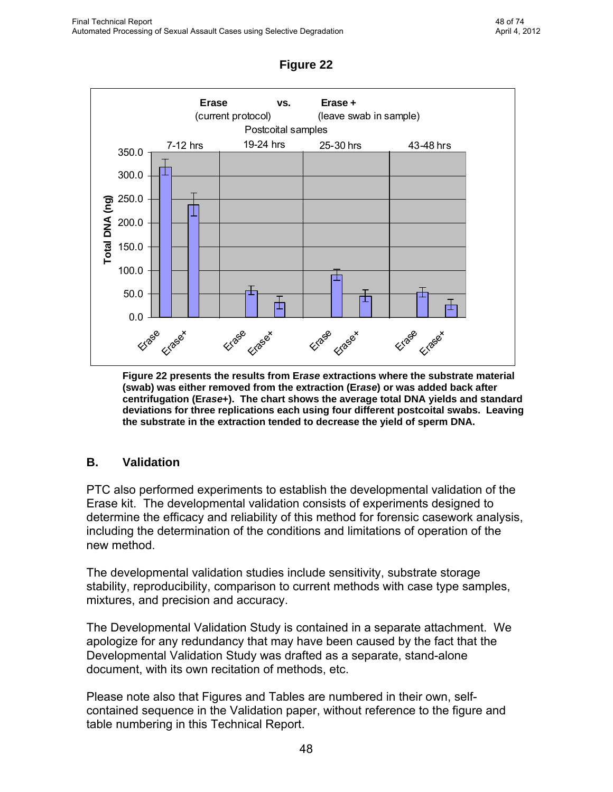

**Figure 21 represents the averaged results for total DNA yield from the male fraction of Er***ase* **extractions of postcoital samples using various additives. Each postcoital swab sample was treated with Erase** *proteinase* **K extraction buffer and then divided equally for the step shown. The basic Er***ase* **procedure was compared with and without the addition of SDS, with egg yolk extender added to solution #2 and with both extender and SDS added. The results represent the average total DNA yield and their standard deviations for three replications.** 

#### **(vi) Retaining Substrate Material in Extraction throughout Selective Degradation Procedure**

The Erase procedure calls for removing the substrate after the sperm pelleting centrifugation step. The centrifugation step pelleted most sperm cells, but it is assumed that some of the sperm cells remained in the swab after centrifugation. It is common knowledge in the forensic DNA community that if a sexual assault substrate is re-extracted after the initial extraction process it is often possible to obtain sperm cells that remained on the substrate after the initial extraction process. Experiments were designed in order to determine whether introducing the substrate back into the sperm fraction tube after the sperm pelletting centrifugation step would increase the sperm cell DNA yield. The experimental data varied in significance, but the overall trend was that the addition of the substrate tended to lower the sperm fraction DNA yield. It is surmised that some of the sperm cell DNA may be trapped in the substrate after final centrifugation.

**Figure 21**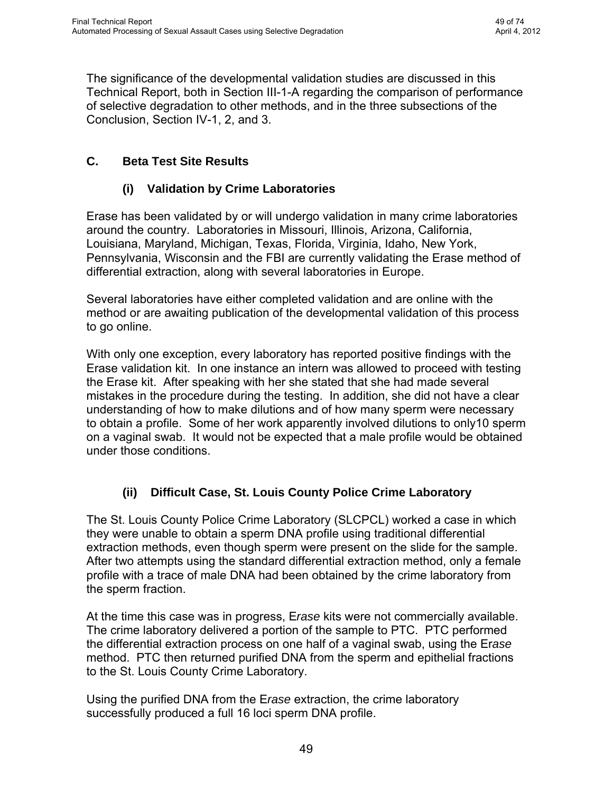

**Figure 22 presents the results from Er***ase* **extractions where the substrate material (swab) was either removed from the extraction (Er***ase***) or was added back after centrifugation (Er***ase***+). The chart shows the average total DNA yields and standard deviations for three replications each using four different postcoital swabs. Leaving the substrate in the extraction tended to decrease the yield of sperm DNA.** 

#### **B. Validation**

PTC also performed experiments to establish the developmental validation of the Erase kit. The developmental validation consists of experiments designed to determine the efficacy and reliability of this method for forensic casework analysis, including the determination of the conditions and limitations of operation of the new method.

The developmental validation studies include sensitivity, substrate storage stability, reproducibility, comparison to current methods with case type samples, mixtures, and precision and accuracy.

The Developmental Validation Study is contained in a separate attachment. We apologize for any redundancy that may have been caused by the fact that the Developmental Validation Study was drafted as a separate, stand-alone document, with its own recitation of methods, etc.

Please note also that Figures and Tables are numbered in their own, selfcontained sequence in the Validation paper, without reference to the figure and table numbering in this Technical Report.

**Figure 22**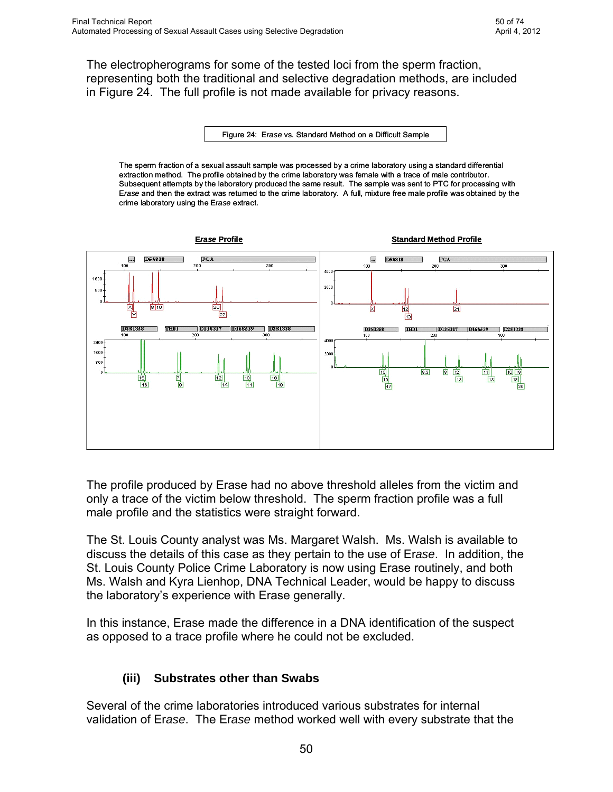The significance of the developmental validation studies are discussed in this Technical Report, both in Section III-1-A regarding the comparison of performance of selective degradation to other methods, and in the three subsections of the Conclusion, Section IV-1, 2, and 3.

# **C. Beta Test Site Results**

# **(i) Validation by Crime Laboratories**

Erase has been validated by or will undergo validation in many crime laboratories around the country. Laboratories in Missouri, Illinois, Arizona, California, Louisiana, Maryland, Michigan, Texas, Florida, Virginia, Idaho, New York, Pennsylvania, Wisconsin and the FBI are currently validating the Erase method of differential extraction, along with several laboratories in Europe.

Several laboratories have either completed validation and are online with the method or are awaiting publication of the developmental validation of this process to go online.

With only one exception, every laboratory has reported positive findings with the Erase validation kit. In one instance an intern was allowed to proceed with testing the Erase kit. After speaking with her she stated that she had made several mistakes in the procedure during the testing. In addition, she did not have a clear understanding of how to make dilutions and of how many sperm were necessary to obtain a profile. Some of her work apparently involved dilutions to only10 sperm on a vaginal swab. It would not be expected that a male profile would be obtained under those conditions.

## **(ii) Difficult Case, St. Louis County Police Crime Laboratory**

The St. Louis County Police Crime Laboratory (SLCPCL) worked a case in which they were unable to obtain a sperm DNA profile using traditional differential extraction methods, even though sperm were present on the slide for the sample. After two attempts using the standard differential extraction method, only a female profile with a trace of male DNA had been obtained by the crime laboratory from the sperm fraction.

At the time this case was in progress, E*rase* kits were not commercially available. The crime laboratory delivered a portion of the sample to PTC. PTC performed the differential extraction process on one half of a vaginal swab, using the Er*ase* method. PTC then returned purified DNA from the sperm and epithelial fractions to the St. Louis County Crime Laboratory.

Using the purified DNA from the E*rase* extraction, the crime laboratory successfully produced a full 16 loci sperm DNA profile.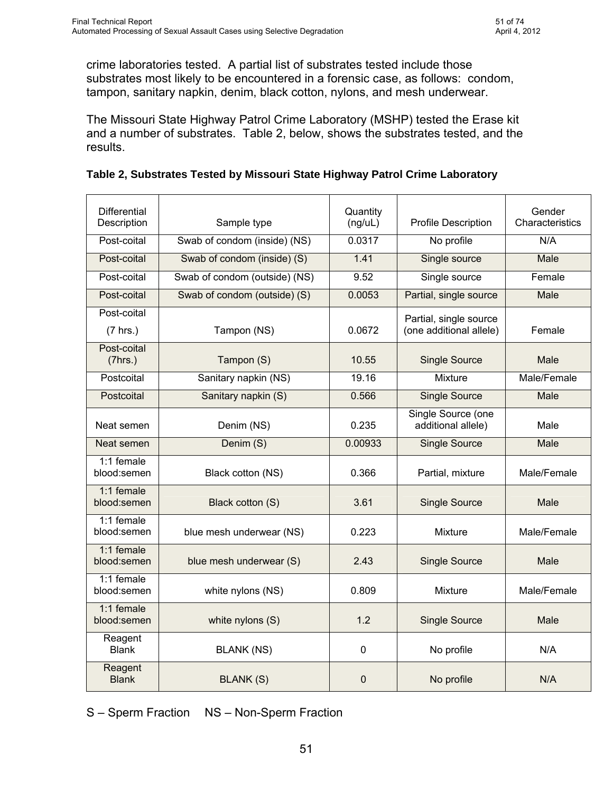The electropherograms for some of the tested loci from the sperm fraction, representing both the traditional and selective degradation methods, are included in Figure 24. The full profile is not made available for privacy reasons.

Figure 24: E*rase* vs. Standard Method on a Difficult Sample

The sperm fraction of a sexual assault sample was processed by a crime laboratory using a standard differential extraction method. The profile obtained by the crime laboratory was female with a trace of male contributor. Subsequent attempts by the laboratory produced the same result. The sample was sent to PTC for processing with E*rase* and then the extract was returned to the crime laboratory. A full, mixture free male profile was obtained by the crime laboratory using the E*rase* extract.



The profile produced by Erase had no above threshold alleles from the victim and only a trace of the victim below threshold. The sperm fraction profile was a full male profile and the statistics were straight forward.

The St. Louis County analyst was Ms. Margaret Walsh. Ms. Walsh is available to discuss the details of this case as they pertain to the use of Er*ase*. In addition, the St. Louis County Police Crime Laboratory is now using Erase routinely, and both Ms. Walsh and Kyra Lienhop, DNA Technical Leader, would be happy to discuss the laboratory's experience with Erase generally.

In this instance, Erase made the difference in a DNA identification of the suspect as opposed to a trace profile where he could not be excluded.

## **(iii) Substrates other than Swabs**

Several of the crime laboratories introduced various substrates for internal validation of Er*ase*. The Er*ase* method worked well with every substrate that the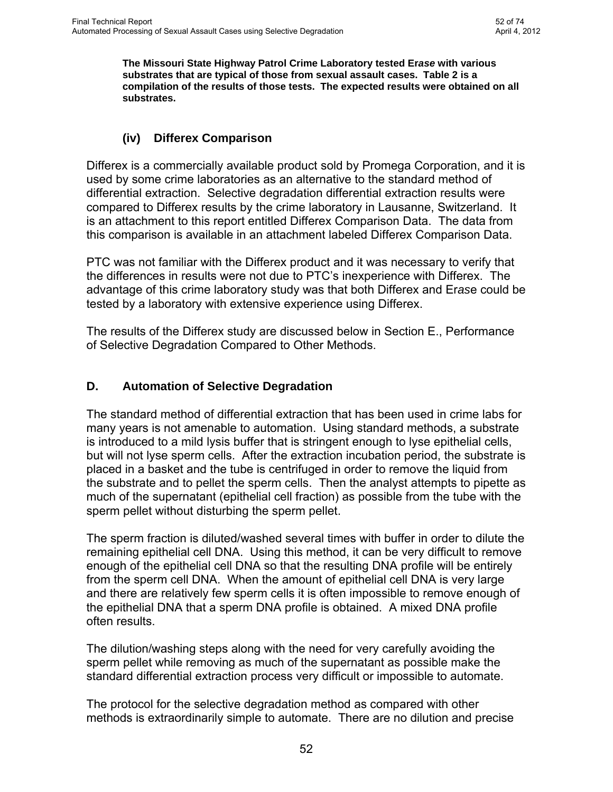crime laboratories tested. A partial list of substrates tested include those substrates most likely to be encountered in a forensic case, as follows: condom, tampon, sanitary napkin, denim, black cotton, nylons, and mesh underwear.

The Missouri State Highway Patrol Crime Laboratory (MSHP) tested the Erase kit and a number of substrates. Table 2, below, shows the substrates tested, and the results.

| <b>Differential</b><br>Description   | Sample type                   | Quantity<br>(ng/uL) | <b>Profile Description</b>                        | Gender<br>Characteristics |  |
|--------------------------------------|-------------------------------|---------------------|---------------------------------------------------|---------------------------|--|
| Post-coital                          | Swab of condom (inside) (NS)  | 0.0317              | No profile                                        | N/A                       |  |
| Post-coital                          | Swab of condom (inside) (S)   | 1.41                | Single source                                     | Male                      |  |
| Post-coital                          | Swab of condom (outside) (NS) | 9.52                | Single source                                     | Female                    |  |
| Post-coital                          | Swab of condom (outside) (S)  | 0.0053              | Partial, single source                            | Male                      |  |
| Post-coital<br>(7 hrs.)              | Tampon (NS)                   | 0.0672              | Partial, single source<br>(one additional allele) | Female                    |  |
| Post-coital<br>(7hrs.)               | Tampon (S)                    | 10.55               | <b>Single Source</b>                              | Male                      |  |
| Postcoital                           | Sanitary napkin (NS)          | 19.16               | Mixture                                           | Male/Female               |  |
| Postcoital                           | Sanitary napkin (S)           | 0.566               | <b>Single Source</b>                              | <b>Male</b>               |  |
| Neat semen                           | Denim (NS)                    | 0.235               | Single Source (one<br>additional allele)          | Male                      |  |
| Neat semen                           | Denim (S)                     | 0.00933             | <b>Single Source</b>                              | Male                      |  |
| 1:1 female<br>blood:semen            | Black cotton (NS)             | 0.366               | Partial, mixture                                  | Male/Female               |  |
| 1:1 female<br>blood:semen            | Black cotton (S)              | 3.61                | <b>Single Source</b>                              | Male                      |  |
| 1:1 female<br>blood:semen            | blue mesh underwear (NS)      | 0.223               | Mixture                                           | Male/Female               |  |
| 1:1 female<br>blood:semen            | blue mesh underwear (S)       | 2.43                | <b>Single Source</b>                              | Male                      |  |
| 1:1 female<br>blood:semen            | white nylons (NS)             | 0.809               | Mixture                                           | Male/Female               |  |
| 1:1 female<br>blood:semen            | white nylons (S)              | 1.2                 | <b>Single Source</b>                              | Male                      |  |
| Reagent<br><b>Blank</b>              | <b>BLANK (NS)</b>             |                     | No profile                                        | N/A                       |  |
| Reagent<br><b>Blank</b><br>BLANK (S) |                               | 0                   | No profile                                        | N/A                       |  |

| Table 2, Substrates Tested by Missouri State Highway Patrol Crime Laboratory |  |  |
|------------------------------------------------------------------------------|--|--|
|------------------------------------------------------------------------------|--|--|

S – Sperm Fraction NS – Non-Sperm Fraction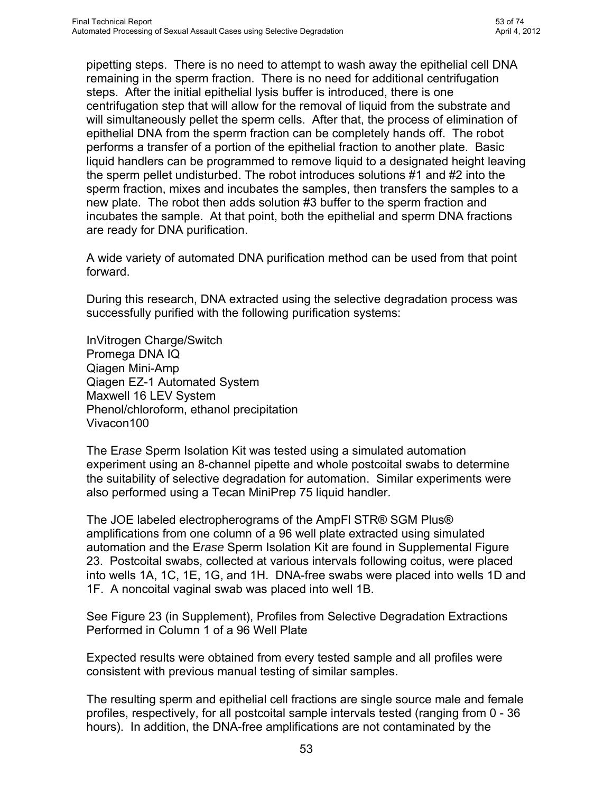**The Missouri State Highway Patrol Crime Laboratory tested Er***ase* **with various substrates that are typical of those from sexual assault cases. Table 2 is a compilation of the results of those tests. The expected results were obtained on all substrates.** 

#### **(iv) Differex Comparison**

Differex is a commercially available product sold by Promega Corporation, and it is used by some crime laboratories as an alternative to the standard method of differential extraction. Selective degradation differential extraction results were compared to Differex results by the crime laboratory in Lausanne, Switzerland. It is an attachment to this report entitled Differex Comparison Data. The data from this comparison is available in an attachment labeled Differex Comparison Data.

PTC was not familiar with the Differex product and it was necessary to verify that the differences in results were not due to PTC's inexperience with Differex. The advantage of this crime laboratory study was that both Differex and Er*as*e could be tested by a laboratory with extensive experience using Differex.

The results of the Differex study are discussed below in Section E., Performance of Selective Degradation Compared to Other Methods.

#### **D. Automation of Selective Degradation**

The standard method of differential extraction that has been used in crime labs for many years is not amenable to automation. Using standard methods, a substrate is introduced to a mild lysis buffer that is stringent enough to lyse epithelial cells, but will not lyse sperm cells. After the extraction incubation period, the substrate is placed in a basket and the tube is centrifuged in order to remove the liquid from the substrate and to pellet the sperm cells. Then the analyst attempts to pipette as much of the supernatant (epithelial cell fraction) as possible from the tube with the sperm pellet without disturbing the sperm pellet.

The sperm fraction is diluted/washed several times with buffer in order to dilute the remaining epithelial cell DNA. Using this method, it can be very difficult to remove enough of the epithelial cell DNA so that the resulting DNA profile will be entirely from the sperm cell DNA. When the amount of epithelial cell DNA is very large and there are relatively few sperm cells it is often impossible to remove enough of the epithelial DNA that a sperm DNA profile is obtained. A mixed DNA profile often results.

The dilution/washing steps along with the need for very carefully avoiding the sperm pellet while removing as much of the supernatant as possible make the standard differential extraction process very difficult or impossible to automate.

The protocol for the selective degradation method as compared with other methods is extraordinarily simple to automate. There are no dilution and precise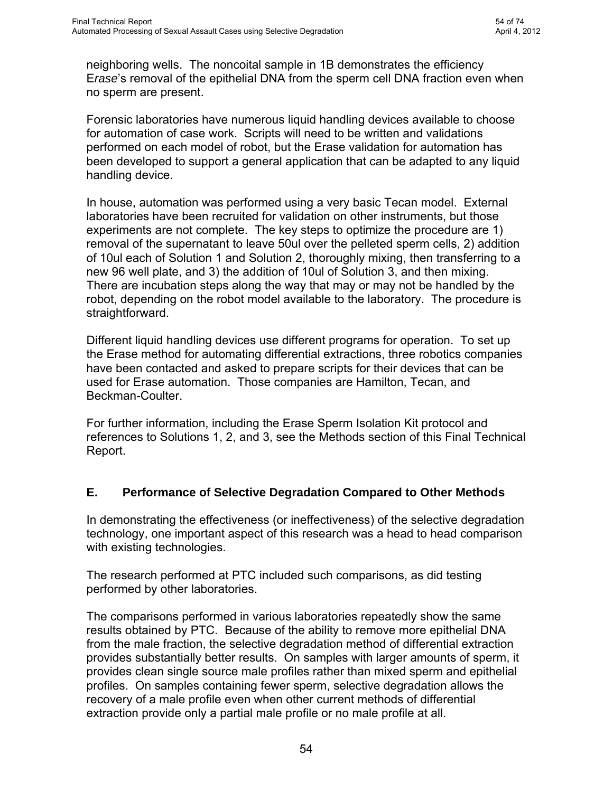pipetting steps. There is no need to attempt to wash away the epithelial cell DNA remaining in the sperm fraction. There is no need for additional centrifugation steps. After the initial epithelial lysis buffer is introduced, there is one centrifugation step that will allow for the removal of liquid from the substrate and will simultaneously pellet the sperm cells. After that, the process of elimination of epithelial DNA from the sperm fraction can be completely hands off. The robot performs a transfer of a portion of the epithelial fraction to another plate. Basic liquid handlers can be programmed to remove liquid to a designated height leaving the sperm pellet undisturbed. The robot introduces solutions #1 and #2 into the sperm fraction, mixes and incubates the samples, then transfers the samples to a new plate. The robot then adds solution #3 buffer to the sperm fraction and incubates the sample. At that point, both the epithelial and sperm DNA fractions are ready for DNA purification.

A wide variety of automated DNA purification method can be used from that point forward.

During this research, DNA extracted using the selective degradation process was successfully purified with the following purification systems:

InVitrogen Charge/Switch Promega DNA IQ Qiagen Mini-Amp Qiagen EZ-1 Automated System Maxwell 16 LEV System Phenol/chloroform, ethanol precipitation Vivacon100

The E*rase* Sperm Isolation Kit was tested using a simulated automation experiment using an 8-channel pipette and whole postcoital swabs to determine the suitability of selective degradation for automation. Similar experiments were also performed using a Tecan MiniPrep 75 liquid handler.

The JOE labeled electropherograms of the AmpFl STR® SGM Plus® amplifications from one column of a 96 well plate extracted using simulated automation and the E*rase* Sperm Isolation Kit are found in Supplemental Figure 23. Postcoital swabs, collected at various intervals following coitus, were placed into wells 1A, 1C, 1E, 1G, and 1H. DNA-free swabs were placed into wells 1D and 1F. A noncoital vaginal swab was placed into well 1B.

See Figure 23 (in Supplement), Profiles from Selective Degradation Extractions Performed in Column 1 of a 96 Well Plate

Expected results were obtained from every tested sample and all profiles were consistent with previous manual testing of similar samples.

The resulting sperm and epithelial cell fractions are single source male and female profiles, respectively, for all postcoital sample intervals tested (ranging from 0 - 36 hours). In addition, the DNA-free amplifications are not contaminated by the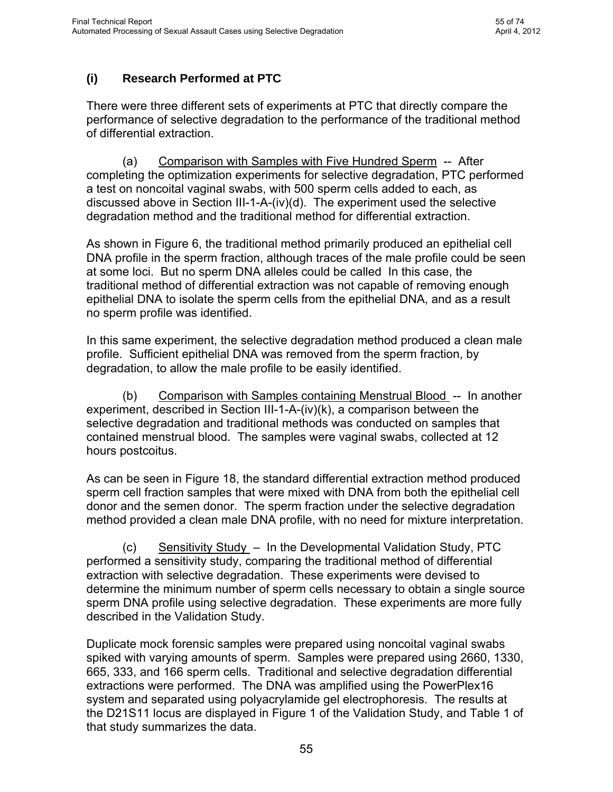neighboring wells. The noncoital sample in 1B demonstrates the efficiency E*rase*'s removal of the epithelial DNA from the sperm cell DNA fraction even when no sperm are present.

Forensic laboratories have numerous liquid handling devices available to choose for automation of case work. Scripts will need to be written and validations performed on each model of robot, but the Erase validation for automation has been developed to support a general application that can be adapted to any liquid handling device.

In house, automation was performed using a very basic Tecan model. External laboratories have been recruited for validation on other instruments, but those experiments are not complete. The key steps to optimize the procedure are 1) removal of the supernatant to leave 50ul over the pelleted sperm cells, 2) addition of 10ul each of Solution 1 and Solution 2, thoroughly mixing, then transferring to a new 96 well plate, and 3) the addition of 10ul of Solution 3, and then mixing. There are incubation steps along the way that may or may not be handled by the robot, depending on the robot model available to the laboratory. The procedure is straightforward.

Different liquid handling devices use different programs for operation. To set up the Erase method for automating differential extractions, three robotics companies have been contacted and asked to prepare scripts for their devices that can be used for Erase automation. Those companies are Hamilton, Tecan, and Beckman-Coulter.

For further information, including the Erase Sperm Isolation Kit protocol and references to Solutions 1, 2, and 3, see the Methods section of this Final Technical Report.

## **E. Performance of Selective Degradation Compared to Other Methods**

In demonstrating the effectiveness (or ineffectiveness) of the selective degradation technology, one important aspect of this research was a head to head comparison with existing technologies.

The research performed at PTC included such comparisons, as did testing performed by other laboratories.

The comparisons performed in various laboratories repeatedly show the same results obtained by PTC. Because of the ability to remove more epithelial DNA from the male fraction, the selective degradation method of differential extraction provides substantially better results. On samples with larger amounts of sperm, it provides clean single source male profiles rather than mixed sperm and epithelial profiles. On samples containing fewer sperm, selective degradation allows the recovery of a male profile even when other current methods of differential extraction provide only a partial male profile or no male profile at all.

This document is a research report submitted to the U.S. Department of Justice. This report has not been published by the Department. Opinions or points of view expressed are those of the author(s) and do not necessarily reflect the official position or policies of the U.S. Department of Justice.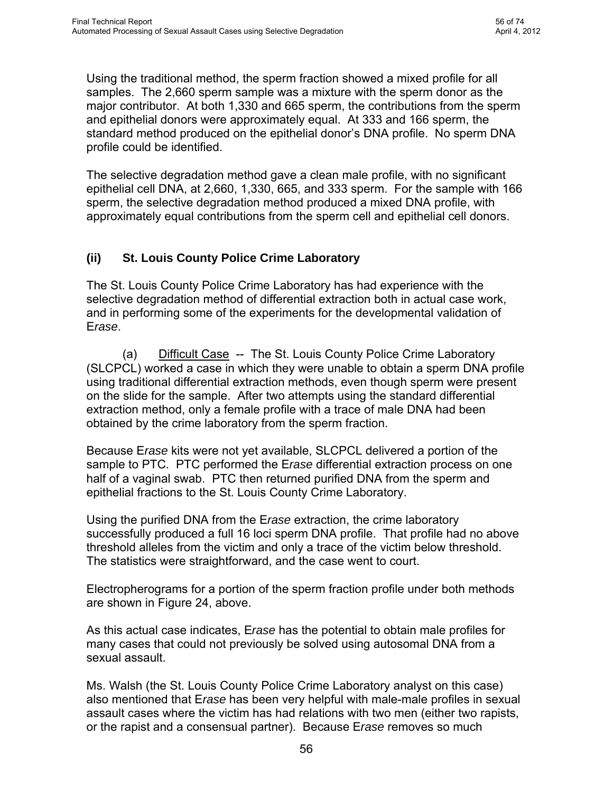# **(i) Research Performed at PTC**

There were three different sets of experiments at PTC that directly compare the performance of selective degradation to the performance of the traditional method of differential extraction.

 (a) Comparison with Samples with Five Hundred Sperm -- After completing the optimization experiments for selective degradation, PTC performed a test on noncoital vaginal swabs, with 500 sperm cells added to each, as discussed above in Section III-1-A-(iv)(d). The experiment used the selective degradation method and the traditional method for differential extraction.

As shown in Figure 6, the traditional method primarily produced an epithelial cell DNA profile in the sperm fraction, although traces of the male profile could be seen at some loci. But no sperm DNA alleles could be called In this case, the traditional method of differential extraction was not capable of removing enough epithelial DNA to isolate the sperm cells from the epithelial DNA, and as a result no sperm profile was identified.

In this same experiment, the selective degradation method produced a clean male profile. Sufficient epithelial DNA was removed from the sperm fraction, by degradation, to allow the male profile to be easily identified.

 (b) Comparison with Samples containing Menstrual Blood -- In another experiment, described in Section III-1-A-(iv)(k), a comparison between the selective degradation and traditional methods was conducted on samples that contained menstrual blood. The samples were vaginal swabs, collected at 12 hours postcoitus.

As can be seen in Figure 18, the standard differential extraction method produced sperm cell fraction samples that were mixed with DNA from both the epithelial cell donor and the semen donor. The sperm fraction under the selective degradation method provided a clean male DNA profile, with no need for mixture interpretation.

 (c) Sensitivity Study – In the Developmental Validation Study, PTC performed a sensitivity study, comparing the traditional method of differential extraction with selective degradation. These experiments were devised to determine the minimum number of sperm cells necessary to obtain a single source sperm DNA profile using selective degradation. These experiments are more fully described in the Validation Study.

Duplicate mock forensic samples were prepared using noncoital vaginal swabs spiked with varying amounts of sperm. Samples were prepared using 2660, 1330, 665, 333, and 166 sperm cells. Traditional and selective degradation differential extractions were performed. The DNA was amplified using the PowerPlex16 system and separated using polyacrylamide gel electrophoresis. The results at the D21S11 locus are displayed in Figure 1 of the Validation Study, and Table 1 of that study summarizes the data.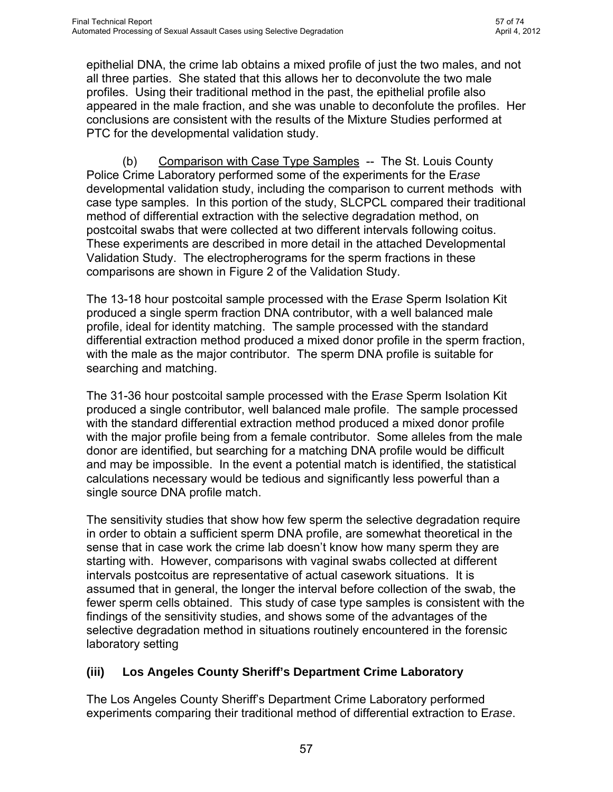Using the traditional method, the sperm fraction showed a mixed profile for all samples. The 2,660 sperm sample was a mixture with the sperm donor as the major contributor. At both 1,330 and 665 sperm, the contributions from the sperm and epithelial donors were approximately equal. At 333 and 166 sperm, the standard method produced on the epithelial donor's DNA profile. No sperm DNA profile could be identified.

The selective degradation method gave a clean male profile, with no significant epithelial cell DNA, at 2,660, 1,330, 665, and 333 sperm. For the sample with 166 sperm, the selective degradation method produced a mixed DNA profile, with approximately equal contributions from the sperm cell and epithelial cell donors.

#### **(ii) St. Louis County Police Crime Laboratory**

The St. Louis County Police Crime Laboratory has had experience with the selective degradation method of differential extraction both in actual case work, and in performing some of the experiments for the developmental validation of E*rase*.

 (a) Difficult Case -- The St. Louis County Police Crime Laboratory (SLCPCL) worked a case in which they were unable to obtain a sperm DNA profile using traditional differential extraction methods, even though sperm were present on the slide for the sample. After two attempts using the standard differential extraction method, only a female profile with a trace of male DNA had been obtained by the crime laboratory from the sperm fraction.

Because E*rase* kits were not yet available, SLCPCL delivered a portion of the sample to PTC. PTC performed the E*rase* differential extraction process on one half of a vaginal swab. PTC then returned purified DNA from the sperm and epithelial fractions to the St. Louis County Crime Laboratory.

Using the purified DNA from the E*rase* extraction, the crime laboratory successfully produced a full 16 loci sperm DNA profile. That profile had no above threshold alleles from the victim and only a trace of the victim below threshold. The statistics were straightforward, and the case went to court.

Electropherograms for a portion of the sperm fraction profile under both methods are shown in Figure 24, above.

As this actual case indicates, E*rase* has the potential to obtain male profiles for many cases that could not previously be solved using autosomal DNA from a sexual assault.

Ms. Walsh (the St. Louis County Police Crime Laboratory analyst on this case) also mentioned that E*rase* has been very helpful with male-male profiles in sexual assault cases where the victim has had relations with two men (either two rapists, or the rapist and a consensual partner). Because E*rase* removes so much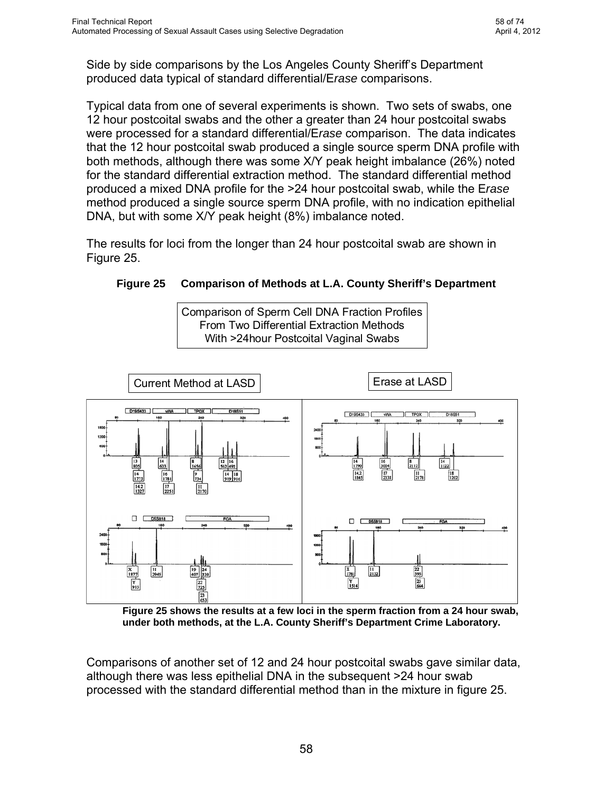epithelial DNA, the crime lab obtains a mixed profile of just the two males, and not all three parties. She stated that this allows her to deconvolute the two male profiles. Using their traditional method in the past, the epithelial profile also appeared in the male fraction, and she was unable to deconfolute the profiles. Her conclusions are consistent with the results of the Mixture Studies performed at PTC for the developmental validation study.

 (b) Comparison with Case Type Samples -- The St. Louis County Police Crime Laboratory performed some of the experiments for the E*rase* developmental validation study, including the comparison to current methods with case type samples. In this portion of the study, SLCPCL compared their traditional method of differential extraction with the selective degradation method, on postcoital swabs that were collected at two different intervals following coitus. These experiments are described in more detail in the attached Developmental Validation Study. The electropherograms for the sperm fractions in these comparisons are shown in Figure 2 of the Validation Study.

The 13-18 hour postcoital sample processed with the E*rase* Sperm Isolation Kit produced a single sperm fraction DNA contributor, with a well balanced male profile, ideal for identity matching. The sample processed with the standard differential extraction method produced a mixed donor profile in the sperm fraction, with the male as the major contributor. The sperm DNA profile is suitable for searching and matching.

The 31-36 hour postcoital sample processed with the E*rase* Sperm Isolation Kit produced a single contributor, well balanced male profile. The sample processed with the standard differential extraction method produced a mixed donor profile with the major profile being from a female contributor. Some alleles from the male donor are identified, but searching for a matching DNA profile would be difficult and may be impossible. In the event a potential match is identified, the statistical calculations necessary would be tedious and significantly less powerful than a single source DNA profile match.

The sensitivity studies that show how few sperm the selective degradation require in order to obtain a sufficient sperm DNA profile, are somewhat theoretical in the sense that in case work the crime lab doesn't know how many sperm they are starting with. However, comparisons with vaginal swabs collected at different intervals postcoitus are representative of actual casework situations. It is assumed that in general, the longer the interval before collection of the swab, the fewer sperm cells obtained. This study of case type samples is consistent with the findings of the sensitivity studies, and shows some of the advantages of the selective degradation method in situations routinely encountered in the forensic laboratory setting

## **(iii) Los Angeles County Sheriff's Department Crime Laboratory**

The Los Angeles County Sheriff's Department Crime Laboratory performed experiments comparing their traditional method of differential extraction to E*rase*.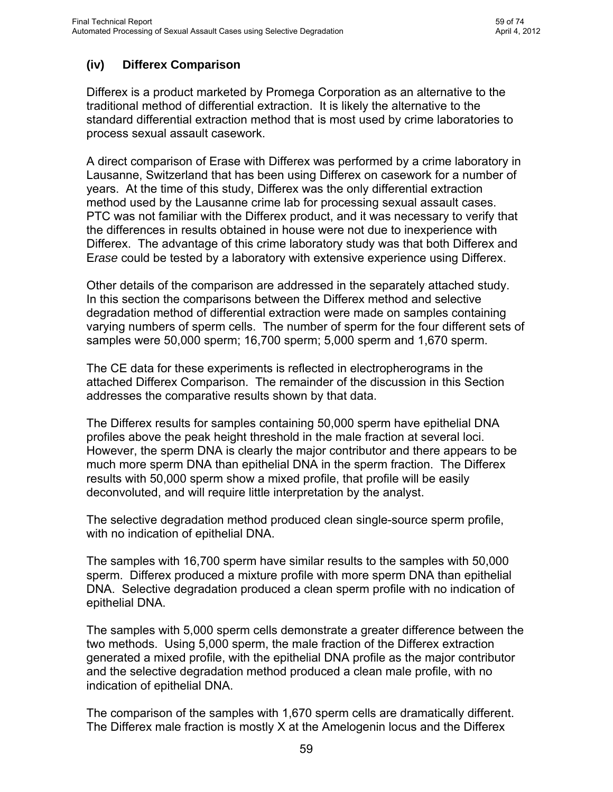Side by side comparisons by the Los Angeles County Sheriff's Department produced data typical of standard differential/E*rase* comparisons.

Typical data from one of several experiments is shown. Two sets of swabs, one 12 hour postcoital swabs and the other a greater than 24 hour postcoital swabs were processed for a standard differential/E*rase* comparison. The data indicates that the 12 hour postcoital swab produced a single source sperm DNA profile with both methods, although there was some X/Y peak height imbalance (26%) noted for the standard differential extraction method. The standard differential method produced a mixed DNA profile for the >24 hour postcoital swab, while the E*rase*  method produced a single source sperm DNA profile, with no indication epithelial DNA, but with some X/Y peak height (8%) imbalance noted.

The results for loci from the longer than 24 hour postcoital swab are shown in Figure 25.

**Figure 25 Comparison of Methods at L.A. County Sheriff's Department** 

Comparison of Sperm Cell DNA Fraction Profiles From Two Differential Extraction Methods With >24hour Postcoital Vaginal Swabs



**Figure 25 shows the results at a few loci in the sperm fraction from a 24 hour swab, under both methods, at the L.A. County Sheriff's Department Crime Laboratory.** 

Comparisons of another set of 12 and 24 hour postcoital swabs gave similar data, although there was less epithelial DNA in the subsequent >24 hour swab processed with the standard differential method than in the mixture in figure 25.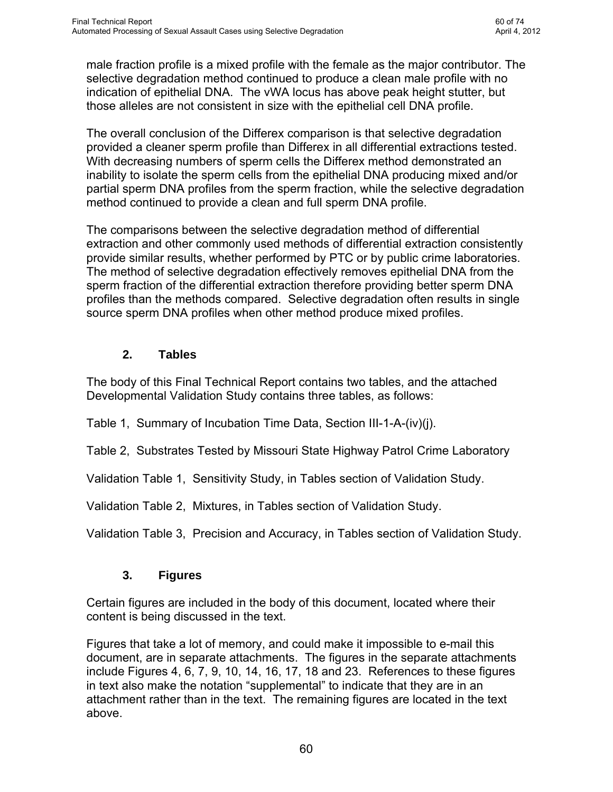# **(iv) Differex Comparison**

Differex is a product marketed by Promega Corporation as an alternative to the traditional method of differential extraction. It is likely the alternative to the standard differential extraction method that is most used by crime laboratories to process sexual assault casework.

A direct comparison of Erase with Differex was performed by a crime laboratory in Lausanne, Switzerland that has been using Differex on casework for a number of years. At the time of this study, Differex was the only differential extraction method used by the Lausanne crime lab for processing sexual assault cases. PTC was not familiar with the Differex product, and it was necessary to verify that the differences in results obtained in house were not due to inexperience with Differex. The advantage of this crime laboratory study was that both Differex and E*rase* could be tested by a laboratory with extensive experience using Differex.

Other details of the comparison are addressed in the separately attached study. In this section the comparisons between the Differex method and selective degradation method of differential extraction were made on samples containing varying numbers of sperm cells. The number of sperm for the four different sets of samples were 50,000 sperm; 16,700 sperm; 5,000 sperm and 1,670 sperm.

The CE data for these experiments is reflected in electropherograms in the attached Differex Comparison. The remainder of the discussion in this Section addresses the comparative results shown by that data.

The Differex results for samples containing 50,000 sperm have epithelial DNA profiles above the peak height threshold in the male fraction at several loci. However, the sperm DNA is clearly the major contributor and there appears to be much more sperm DNA than epithelial DNA in the sperm fraction. The Differex results with 50,000 sperm show a mixed profile, that profile will be easily deconvoluted, and will require little interpretation by the analyst.

The selective degradation method produced clean single-source sperm profile, with no indication of epithelial DNA.

The samples with 16,700 sperm have similar results to the samples with 50,000 sperm. Differex produced a mixture profile with more sperm DNA than epithelial DNA. Selective degradation produced a clean sperm profile with no indication of epithelial DNA.

The samples with 5,000 sperm cells demonstrate a greater difference between the two methods. Using 5,000 sperm, the male fraction of the Differex extraction generated a mixed profile, with the epithelial DNA profile as the major contributor and the selective degradation method produced a clean male profile, with no indication of epithelial DNA.

The comparison of the samples with 1,670 sperm cells are dramatically different. The Differex male fraction is mostly X at the Amelogenin locus and the Differex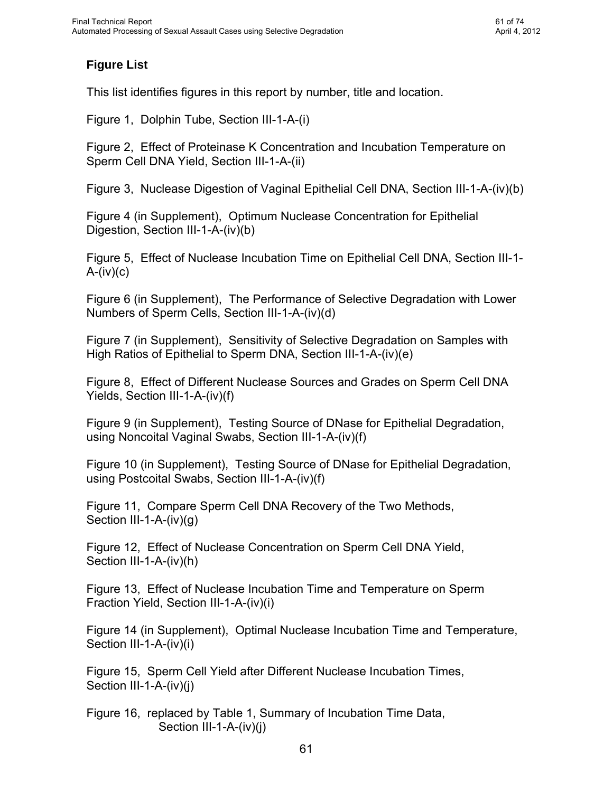male fraction profile is a mixed profile with the female as the major contributor. The selective degradation method continued to produce a clean male profile with no indication of epithelial DNA. The vWA locus has above peak height stutter, but those alleles are not consistent in size with the epithelial cell DNA profile.

The overall conclusion of the Differex comparison is that selective degradation provided a cleaner sperm profile than Differex in all differential extractions tested. With decreasing numbers of sperm cells the Differex method demonstrated an inability to isolate the sperm cells from the epithelial DNA producing mixed and/or partial sperm DNA profiles from the sperm fraction, while the selective degradation method continued to provide a clean and full sperm DNA profile.

The comparisons between the selective degradation method of differential extraction and other commonly used methods of differential extraction consistently provide similar results, whether performed by PTC or by public crime laboratories. The method of selective degradation effectively removes epithelial DNA from the sperm fraction of the differential extraction therefore providing better sperm DNA profiles than the methods compared. Selective degradation often results in single source sperm DNA profiles when other method produce mixed profiles.

## **2. Tables**

The body of this Final Technical Report contains two tables, and the attached Developmental Validation Study contains three tables, as follows:

Table 1, Summary of Incubation Time Data, Section III-1-A-(iv)(j).

Table 2, Substrates Tested by Missouri State Highway Patrol Crime Laboratory

Validation Table 1, Sensitivity Study, in Tables section of Validation Study.

Validation Table 2, Mixtures, in Tables section of Validation Study.

Validation Table 3, Precision and Accuracy, in Tables section of Validation Study.

## **3. Figures**

Certain figures are included in the body of this document, located where their content is being discussed in the text.

Figures that take a lot of memory, and could make it impossible to e-mail this document, are in separate attachments. The figures in the separate attachments include Figures 4, 6, 7, 9, 10, 14, 16, 17, 18 and 23. References to these figures in text also make the notation "supplemental" to indicate that they are in an attachment rather than in the text. The remaining figures are located in the text above.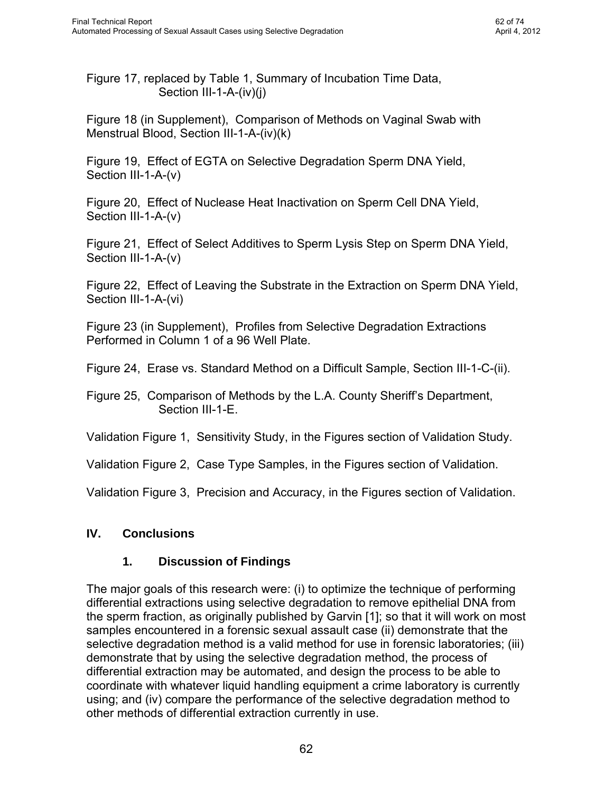## **Figure List**

This list identifies figures in this report by number, title and location.

Figure 1, Dolphin Tube, Section III-1-A-(i)

Figure 2, Effect of Proteinase K Concentration and Incubation Temperature on Sperm Cell DNA Yield, Section III-1-A-(ii)

Figure 3, Nuclease Digestion of Vaginal Epithelial Cell DNA, Section III-1-A-(iv)(b)

Figure 4 (in Supplement), Optimum Nuclease Concentration for Epithelial Digestion, Section III-1-A-(iv)(b)

Figure 5, Effect of Nuclease Incubation Time on Epithelial Cell DNA, Section III-1-  $A-(iv)(c)$ 

Figure 6 (in Supplement), The Performance of Selective Degradation with Lower Numbers of Sperm Cells, Section III-1-A-(iv)(d)

Figure 7 (in Supplement), Sensitivity of Selective Degradation on Samples with High Ratios of Epithelial to Sperm DNA, Section III-1-A-(iv)(e)

Figure 8, Effect of Different Nuclease Sources and Grades on Sperm Cell DNA Yields, Section III-1-A-(iv)(f)

Figure 9 (in Supplement), Testing Source of DNase for Epithelial Degradation, using Noncoital Vaginal Swabs, Section III-1-A-(iv)(f)

Figure 10 (in Supplement), Testing Source of DNase for Epithelial Degradation, using Postcoital Swabs, Section III-1-A-(iv)(f)

Figure 11, Compare Sperm Cell DNA Recovery of the Two Methods, Section III-1-A-(iv)(g)

Figure 12, Effect of Nuclease Concentration on Sperm Cell DNA Yield, Section III-1-A-(iv)(h)

Figure 13, Effect of Nuclease Incubation Time and Temperature on Sperm Fraction Yield, Section III-1-A-(iv)(i)

Figure 14 (in Supplement), Optimal Nuclease Incubation Time and Temperature, Section III-1-A-(iv)(i)

Figure 15, Sperm Cell Yield after Different Nuclease Incubation Times, Section III-1-A-(iv)(j)

Figure 16, replaced by Table 1, Summary of Incubation Time Data, Section III-1-A-(iv)(j)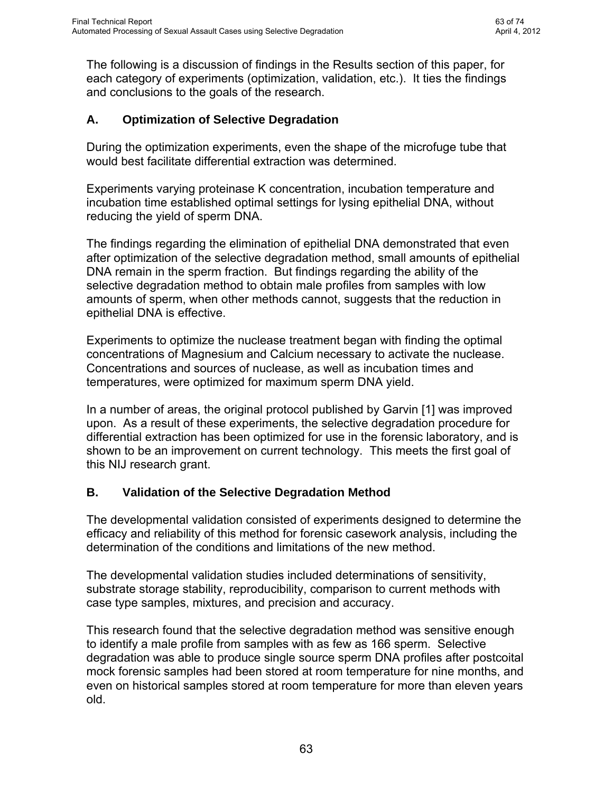Figure 17, replaced by Table 1, Summary of Incubation Time Data, Section III-1-A-(iv)(i)

Figure 18 (in Supplement), Comparison of Methods on Vaginal Swab with Menstrual Blood, Section III-1-A-(iv)(k)

Figure 19, Effect of EGTA on Selective Degradation Sperm DNA Yield, Section III-1-A-(v)

Figure 20, Effect of Nuclease Heat Inactivation on Sperm Cell DNA Yield, Section III-1-A-(v)

Figure 21, Effect of Select Additives to Sperm Lysis Step on Sperm DNA Yield, Section III-1-A-(v)

Figure 22, Effect of Leaving the Substrate in the Extraction on Sperm DNA Yield, Section III-1-A-(vi)

Figure 23 (in Supplement), Profiles from Selective Degradation Extractions Performed in Column 1 of a 96 Well Plate.

Figure 24, Erase vs. Standard Method on a Difficult Sample, Section III-1-C-(ii).

Figure 25, Comparison of Methods by the L.A. County Sheriff's Department, Section III-1-E.

Validation Figure 1, Sensitivity Study, in the Figures section of Validation Study.

Validation Figure 2, Case Type Samples, in the Figures section of Validation.

Validation Figure 3, Precision and Accuracy, in the Figures section of Validation.

## **IV. Conclusions**

## **1. Discussion of Findings**

The major goals of this research were: (i) to optimize the technique of performing differential extractions using selective degradation to remove epithelial DNA from the sperm fraction, as originally published by Garvin [1]; so that it will work on most samples encountered in a forensic sexual assault case (ii) demonstrate that the selective degradation method is a valid method for use in forensic laboratories; (iii) demonstrate that by using the selective degradation method, the process of differential extraction may be automated, and design the process to be able to coordinate with whatever liquid handling equipment a crime laboratory is currently using; and (iv) compare the performance of the selective degradation method to other methods of differential extraction currently in use.

This document is a research report submitted to the U.S. Department of Justice. This report has not been published by the Department. Opinions or points of view expressed are those of the author(s) and do not necessarily reflect the official position or policies of the U.S. Department of Justice.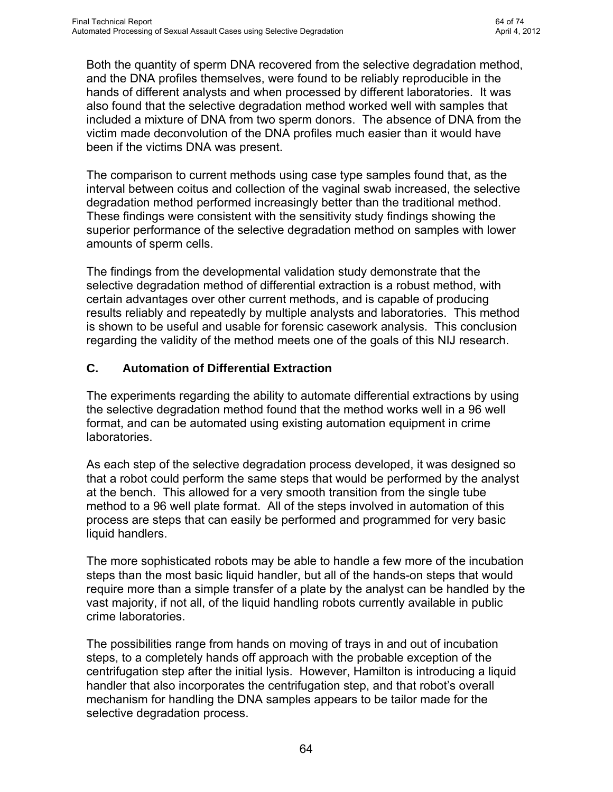The following is a discussion of findings in the Results section of this paper, for each category of experiments (optimization, validation, etc.). It ties the findings and conclusions to the goals of the research.

## **A. Optimization of Selective Degradation**

During the optimization experiments, even the shape of the microfuge tube that would best facilitate differential extraction was determined.

Experiments varying proteinase K concentration, incubation temperature and incubation time established optimal settings for lysing epithelial DNA, without reducing the yield of sperm DNA.

The findings regarding the elimination of epithelial DNA demonstrated that even after optimization of the selective degradation method, small amounts of epithelial DNA remain in the sperm fraction. But findings regarding the ability of the selective degradation method to obtain male profiles from samples with low amounts of sperm, when other methods cannot, suggests that the reduction in epithelial DNA is effective.

Experiments to optimize the nuclease treatment began with finding the optimal concentrations of Magnesium and Calcium necessary to activate the nuclease. Concentrations and sources of nuclease, as well as incubation times and temperatures, were optimized for maximum sperm DNA yield.

In a number of areas, the original protocol published by Garvin [1] was improved upon. As a result of these experiments, the selective degradation procedure for differential extraction has been optimized for use in the forensic laboratory, and is shown to be an improvement on current technology. This meets the first goal of this NIJ research grant.

## **B. Validation of the Selective Degradation Method**

The developmental validation consisted of experiments designed to determine the efficacy and reliability of this method for forensic casework analysis, including the determination of the conditions and limitations of the new method.

The developmental validation studies included determinations of sensitivity, substrate storage stability, reproducibility, comparison to current methods with case type samples, mixtures, and precision and accuracy.

This research found that the selective degradation method was sensitive enough to identify a male profile from samples with as few as 166 sperm. Selective degradation was able to produce single source sperm DNA profiles after postcoital mock forensic samples had been stored at room temperature for nine months, and even on historical samples stored at room temperature for more than eleven years old.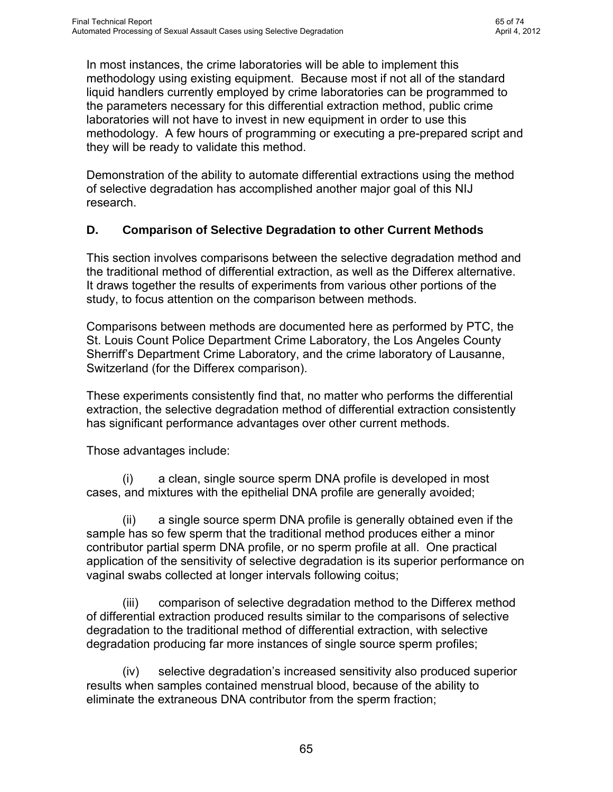Both the quantity of sperm DNA recovered from the selective degradation method, and the DNA profiles themselves, were found to be reliably reproducible in the hands of different analysts and when processed by different laboratories. It was also found that the selective degradation method worked well with samples that included a mixture of DNA from two sperm donors. The absence of DNA from the victim made deconvolution of the DNA profiles much easier than it would have been if the victims DNA was present.

The comparison to current methods using case type samples found that, as the interval between coitus and collection of the vaginal swab increased, the selective degradation method performed increasingly better than the traditional method. These findings were consistent with the sensitivity study findings showing the superior performance of the selective degradation method on samples with lower amounts of sperm cells.

The findings from the developmental validation study demonstrate that the selective degradation method of differential extraction is a robust method, with certain advantages over other current methods, and is capable of producing results reliably and repeatedly by multiple analysts and laboratories. This method is shown to be useful and usable for forensic casework analysis. This conclusion regarding the validity of the method meets one of the goals of this NIJ research.

#### **C. Automation of Differential Extraction**

The experiments regarding the ability to automate differential extractions by using the selective degradation method found that the method works well in a 96 well format, and can be automated using existing automation equipment in crime **laboratories** 

As each step of the selective degradation process developed, it was designed so that a robot could perform the same steps that would be performed by the analyst at the bench. This allowed for a very smooth transition from the single tube method to a 96 well plate format. All of the steps involved in automation of this process are steps that can easily be performed and programmed for very basic liquid handlers.

The more sophisticated robots may be able to handle a few more of the incubation steps than the most basic liquid handler, but all of the hands-on steps that would require more than a simple transfer of a plate by the analyst can be handled by the vast majority, if not all, of the liquid handling robots currently available in public crime laboratories.

The possibilities range from hands on moving of trays in and out of incubation steps, to a completely hands off approach with the probable exception of the centrifugation step after the initial lysis. However, Hamilton is introducing a liquid handler that also incorporates the centrifugation step, and that robot's overall mechanism for handling the DNA samples appears to be tailor made for the selective degradation process.

This document is a research report submitted to the U.S. Department of Justice. This report has not been published by the Department. Opinions or points of view expressed are those of the author(s) and do not necessarily reflect the official position or policies of the U.S. Department of Justice.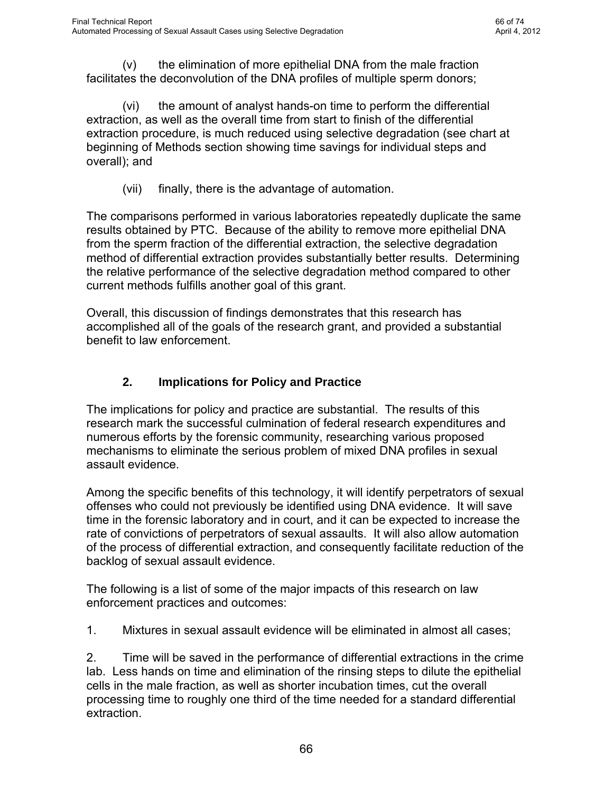In most instances, the crime laboratories will be able to implement this methodology using existing equipment. Because most if not all of the standard liquid handlers currently employed by crime laboratories can be programmed to the parameters necessary for this differential extraction method, public crime laboratories will not have to invest in new equipment in order to use this methodology. A few hours of programming or executing a pre-prepared script and they will be ready to validate this method.

Demonstration of the ability to automate differential extractions using the method of selective degradation has accomplished another major goal of this NIJ research.

#### **D. Comparison of Selective Degradation to other Current Methods**

This section involves comparisons between the selective degradation method and the traditional method of differential extraction, as well as the Differex alternative. It draws together the results of experiments from various other portions of the study, to focus attention on the comparison between methods.

Comparisons between methods are documented here as performed by PTC, the St. Louis Count Police Department Crime Laboratory, the Los Angeles County Sherriff's Department Crime Laboratory, and the crime laboratory of Lausanne, Switzerland (for the Differex comparison).

These experiments consistently find that, no matter who performs the differential extraction, the selective degradation method of differential extraction consistently has significant performance advantages over other current methods.

Those advantages include:

 (i) a clean, single source sperm DNA profile is developed in most cases, and mixtures with the epithelial DNA profile are generally avoided;

 (ii) a single source sperm DNA profile is generally obtained even if the sample has so few sperm that the traditional method produces either a minor contributor partial sperm DNA profile, or no sperm profile at all. One practical application of the sensitivity of selective degradation is its superior performance on vaginal swabs collected at longer intervals following coitus;

 (iii) comparison of selective degradation method to the Differex method of differential extraction produced results similar to the comparisons of selective degradation to the traditional method of differential extraction, with selective degradation producing far more instances of single source sperm profiles;

 (iv) selective degradation's increased sensitivity also produced superior results when samples contained menstrual blood, because of the ability to eliminate the extraneous DNA contributor from the sperm fraction;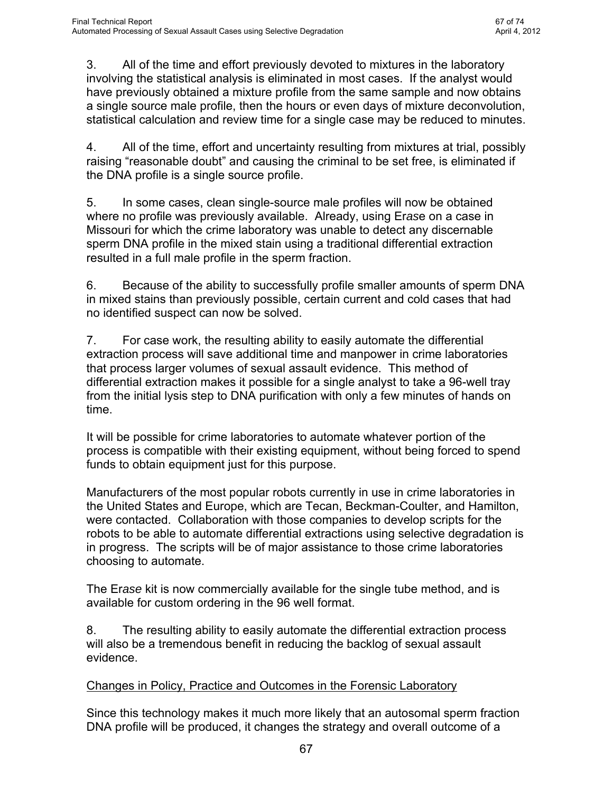(v) the elimination of more epithelial DNA from the male fraction facilitates the deconvolution of the DNA profiles of multiple sperm donors;

 (vi) the amount of analyst hands-on time to perform the differential extraction, as well as the overall time from start to finish of the differential extraction procedure, is much reduced using selective degradation (see chart at beginning of Methods section showing time savings for individual steps and overall); and

(vii) finally, there is the advantage of automation.

The comparisons performed in various laboratories repeatedly duplicate the same results obtained by PTC. Because of the ability to remove more epithelial DNA from the sperm fraction of the differential extraction, the selective degradation method of differential extraction provides substantially better results. Determining the relative performance of the selective degradation method compared to other current methods fulfills another goal of this grant.

Overall, this discussion of findings demonstrates that this research has accomplished all of the goals of the research grant, and provided a substantial benefit to law enforcement.

# **2. Implications for Policy and Practice**

The implications for policy and practice are substantial. The results of this research mark the successful culmination of federal research expenditures and numerous efforts by the forensic community, researching various proposed mechanisms to eliminate the serious problem of mixed DNA profiles in sexual assault evidence.

Among the specific benefits of this technology, it will identify perpetrators of sexual offenses who could not previously be identified using DNA evidence. It will save time in the forensic laboratory and in court, and it can be expected to increase the rate of convictions of perpetrators of sexual assaults. It will also allow automation of the process of differential extraction, and consequently facilitate reduction of the backlog of sexual assault evidence.

The following is a list of some of the major impacts of this research on law enforcement practices and outcomes:

1. Mixtures in sexual assault evidence will be eliminated in almost all cases;

2. Time will be saved in the performance of differential extractions in the crime lab. Less hands on time and elimination of the rinsing steps to dilute the epithelial cells in the male fraction, as well as shorter incubation times, cut the overall processing time to roughly one third of the time needed for a standard differential extraction.

This document is a research report submitted to the U.S. Department of Justice. This report has not been published by the Department. Opinions or points of view expressed are those of the author(s) and do not necessarily reflect the official position or policies of the U.S. Department of Justice.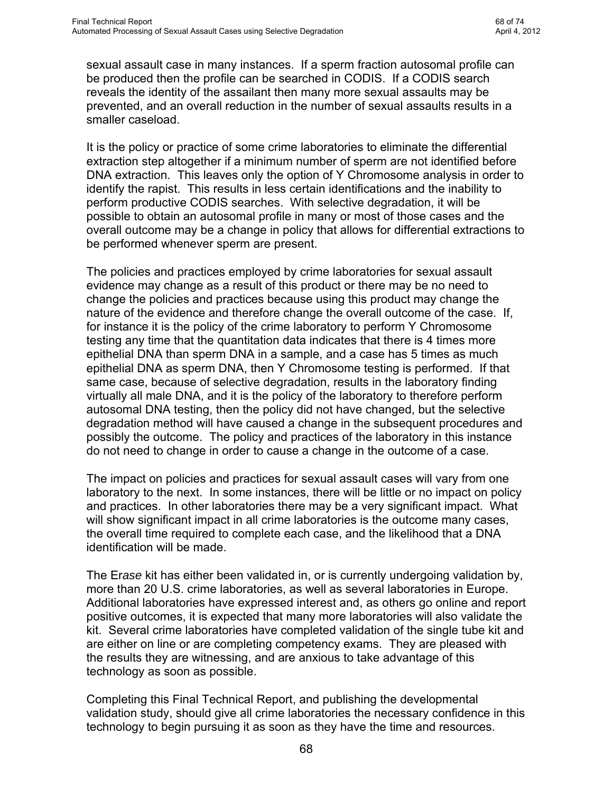3. All of the time and effort previously devoted to mixtures in the laboratory involving the statistical analysis is eliminated in most cases. If the analyst would have previously obtained a mixture profile from the same sample and now obtains a single source male profile, then the hours or even days of mixture deconvolution, statistical calculation and review time for a single case may be reduced to minutes.

4. All of the time, effort and uncertainty resulting from mixtures at trial, possibly raising "reasonable doubt" and causing the criminal to be set free, is eliminated if the DNA profile is a single source profile.

5. In some cases, clean single-source male profiles will now be obtained where no profile was previously available. Already, using Er*as*e on a case in Missouri for which the crime laboratory was unable to detect any discernable sperm DNA profile in the mixed stain using a traditional differential extraction resulted in a full male profile in the sperm fraction.

6. Because of the ability to successfully profile smaller amounts of sperm DNA in mixed stains than previously possible, certain current and cold cases that had no identified suspect can now be solved.

7. For case work, the resulting ability to easily automate the differential extraction process will save additional time and manpower in crime laboratories that process larger volumes of sexual assault evidence. This method of differential extraction makes it possible for a single analyst to take a 96-well tray from the initial lysis step to DNA purification with only a few minutes of hands on time.

It will be possible for crime laboratories to automate whatever portion of the process is compatible with their existing equipment, without being forced to spend funds to obtain equipment just for this purpose.

Manufacturers of the most popular robots currently in use in crime laboratories in the United States and Europe, which are Tecan, Beckman-Coulter, and Hamilton, were contacted. Collaboration with those companies to develop scripts for the robots to be able to automate differential extractions using selective degradation is in progress. The scripts will be of major assistance to those crime laboratories choosing to automate.

The Er*ase* kit is now commercially available for the single tube method, and is available for custom ordering in the 96 well format.

8. The resulting ability to easily automate the differential extraction process will also be a tremendous benefit in reducing the backlog of sexual assault evidence.

#### Changes in Policy, Practice and Outcomes in the Forensic Laboratory

Since this technology makes it much more likely that an autosomal sperm fraction DNA profile will be produced, it changes the strategy and overall outcome of a

67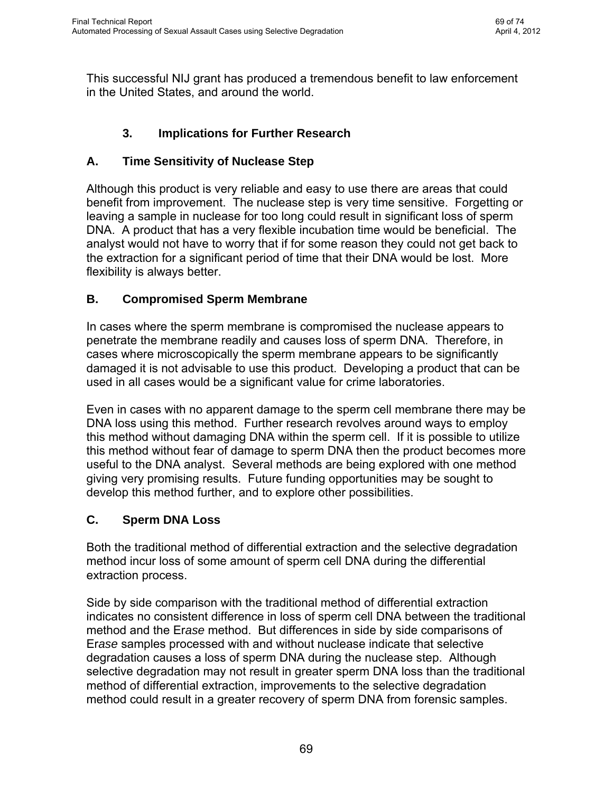sexual assault case in many instances. If a sperm fraction autosomal profile can be produced then the profile can be searched in CODIS. If a CODIS search reveals the identity of the assailant then many more sexual assaults may be prevented, and an overall reduction in the number of sexual assaults results in a smaller caseload.

It is the policy or practice of some crime laboratories to eliminate the differential extraction step altogether if a minimum number of sperm are not identified before DNA extraction. This leaves only the option of Y Chromosome analysis in order to identify the rapist. This results in less certain identifications and the inability to perform productive CODIS searches. With selective degradation, it will be possible to obtain an autosomal profile in many or most of those cases and the overall outcome may be a change in policy that allows for differential extractions to be performed whenever sperm are present.

The policies and practices employed by crime laboratories for sexual assault evidence may change as a result of this product or there may be no need to change the policies and practices because using this product may change the nature of the evidence and therefore change the overall outcome of the case. If, for instance it is the policy of the crime laboratory to perform Y Chromosome testing any time that the quantitation data indicates that there is 4 times more epithelial DNA than sperm DNA in a sample, and a case has 5 times as much epithelial DNA as sperm DNA, then Y Chromosome testing is performed. If that same case, because of selective degradation, results in the laboratory finding virtually all male DNA, and it is the policy of the laboratory to therefore perform autosomal DNA testing, then the policy did not have changed, but the selective degradation method will have caused a change in the subsequent procedures and possibly the outcome. The policy and practices of the laboratory in this instance do not need to change in order to cause a change in the outcome of a case.

The impact on policies and practices for sexual assault cases will vary from one laboratory to the next. In some instances, there will be little or no impact on policy and practices. In other laboratories there may be a very significant impact. What will show significant impact in all crime laboratories is the outcome many cases, the overall time required to complete each case, and the likelihood that a DNA identification will be made.

The Er*ase* kit has either been validated in, or is currently undergoing validation by, more than 20 U.S. crime laboratories, as well as several laboratories in Europe. Additional laboratories have expressed interest and, as others go online and report positive outcomes, it is expected that many more laboratories will also validate the kit. Several crime laboratories have completed validation of the single tube kit and are either on line or are completing competency exams. They are pleased with the results they are witnessing, and are anxious to take advantage of this technology as soon as possible.

Completing this Final Technical Report, and publishing the developmental validation study, should give all crime laboratories the necessary confidence in this technology to begin pursuing it as soon as they have the time and resources.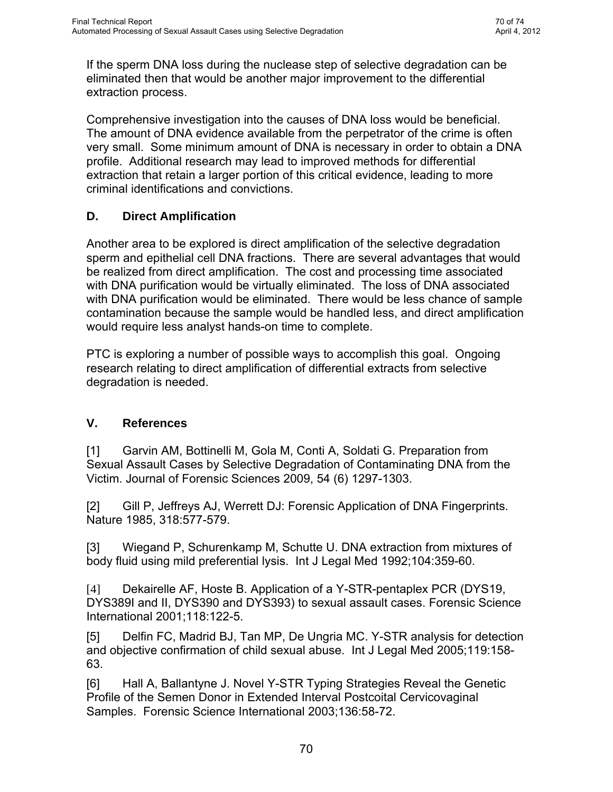This successful NIJ grant has produced a tremendous benefit to law enforcement in the United States, and around the world.

# **3. Implications for Further Research**

# **A. Time Sensitivity of Nuclease Step**

Although this product is very reliable and easy to use there are areas that could benefit from improvement. The nuclease step is very time sensitive. Forgetting or leaving a sample in nuclease for too long could result in significant loss of sperm DNA. A product that has a very flexible incubation time would be beneficial. The analyst would not have to worry that if for some reason they could not get back to the extraction for a significant period of time that their DNA would be lost. More flexibility is always better.

# **B. Compromised Sperm Membrane**

In cases where the sperm membrane is compromised the nuclease appears to penetrate the membrane readily and causes loss of sperm DNA. Therefore, in cases where microscopically the sperm membrane appears to be significantly damaged it is not advisable to use this product. Developing a product that can be used in all cases would be a significant value for crime laboratories.

Even in cases with no apparent damage to the sperm cell membrane there may be DNA loss using this method. Further research revolves around ways to employ this method without damaging DNA within the sperm cell. If it is possible to utilize this method without fear of damage to sperm DNA then the product becomes more useful to the DNA analyst. Several methods are being explored with one method giving very promising results. Future funding opportunities may be sought to develop this method further, and to explore other possibilities.

# **C. Sperm DNA Loss**

Both the traditional method of differential extraction and the selective degradation method incur loss of some amount of sperm cell DNA during the differential extraction process.

Side by side comparison with the traditional method of differential extraction indicates no consistent difference in loss of sperm cell DNA between the traditional method and the Er*ase* method. But differences in side by side comparisons of Er*ase* samples processed with and without nuclease indicate that selective degradation causes a loss of sperm DNA during the nuclease step. Although selective degradation may not result in greater sperm DNA loss than the traditional method of differential extraction, improvements to the selective degradation method could result in a greater recovery of sperm DNA from forensic samples.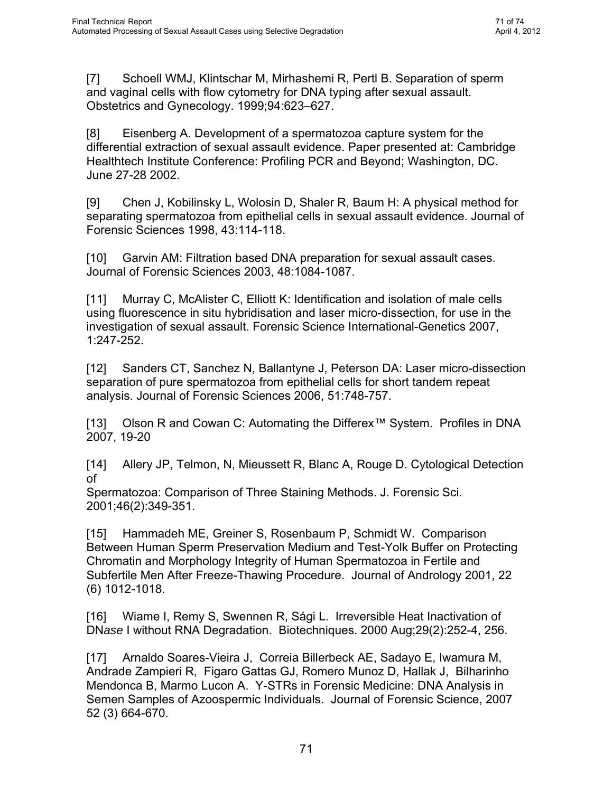If the sperm DNA loss during the nuclease step of selective degradation can be eliminated then that would be another major improvement to the differential extraction process.

Comprehensive investigation into the causes of DNA loss would be beneficial. The amount of DNA evidence available from the perpetrator of the crime is often very small. Some minimum amount of DNA is necessary in order to obtain a DNA profile. Additional research may lead to improved methods for differential extraction that retain a larger portion of this critical evidence, leading to more criminal identifications and convictions.

## **D. Direct Amplification**

Another area to be explored is direct amplification of the selective degradation sperm and epithelial cell DNA fractions. There are several advantages that would be realized from direct amplification. The cost and processing time associated with DNA purification would be virtually eliminated. The loss of DNA associated with DNA purification would be eliminated. There would be less chance of sample contamination because the sample would be handled less, and direct amplification would require less analyst hands-on time to complete.

PTC is exploring a number of possible ways to accomplish this goal. Ongoing research relating to direct amplification of differential extracts from selective degradation is needed.

#### **V. References**

[1] Garvin AM, Bottinelli M, Gola M, Conti A, Soldati G. Preparation from Sexual Assault Cases by Selective Degradation of Contaminating DNA from the Victim. Journal of Forensic Sciences 2009, 54 (6) 1297-1303.

[2] Gill P, Jeffreys AJ, Werrett DJ: Forensic Application of DNA Fingerprints. Nature 1985, 318:577-579.

[3] Wiegand P, Schurenkamp M, Schutte U. DNA extraction from mixtures of body fluid using mild preferential lysis. Int J Legal Med 1992;104:359-60.

[4] Dekairelle AF, Hoste B. Application of a Y-STR-pentaplex PCR (DYS19, DYS389I and II, DYS390 and DYS393) to sexual assault cases. Forensic Science International 2001;118:122-5.

[5] Delfin FC, Madrid BJ, Tan MP, De Ungria MC. Y-STR analysis for detection and objective confirmation of child sexual abuse. Int J Legal Med 2005;119:158- 63.

[6] Hall A, Ballantyne J. Novel Y-STR Typing Strategies Reveal the Genetic Profile of the Semen Donor in Extended Interval Postcoital Cervicovaginal Samples. Forensic Science International 2003;136:58-72.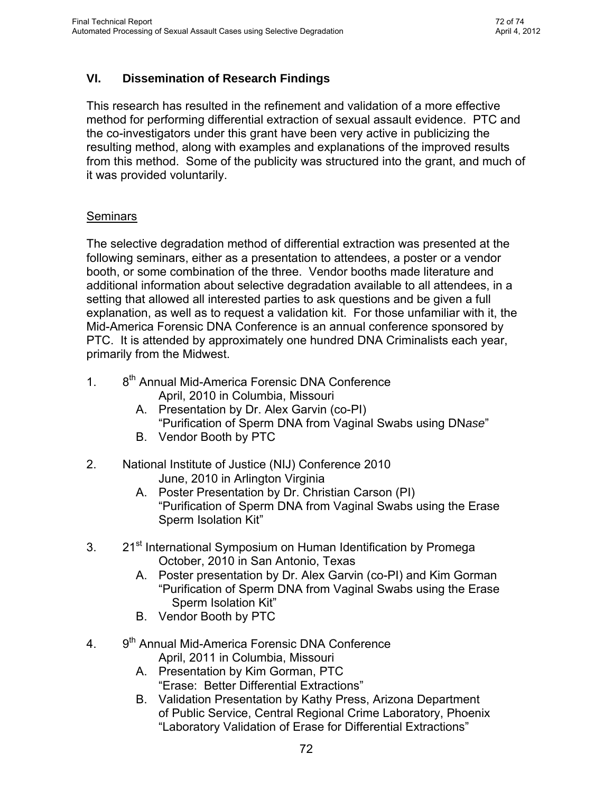[7] Schoell WMJ, Klintschar M, Mirhashemi R, Pertl B. Separation of sperm and vaginal cells with flow cytometry for DNA typing after sexual assault. Obstetrics and Gynecology. 1999;94:623–627.

[8] Eisenberg A. Development of a spermatozoa capture system for the differential extraction of sexual assault evidence. Paper presented at: Cambridge Healthtech Institute Conference: Profiling PCR and Beyond; Washington, DC. June 27-28 2002.

[9] Chen J, Kobilinsky L, Wolosin D, Shaler R, Baum H: A physical method for separating spermatozoa from epithelial cells in sexual assault evidence. Journal of Forensic Sciences 1998, 43:114-118.

[10] Garvin AM: Filtration based DNA preparation for sexual assault cases. Journal of Forensic Sciences 2003, 48:1084-1087.

[11] Murray C, McAlister C, Elliott K: Identification and isolation of male cells using fluorescence in situ hybridisation and laser micro-dissection, for use in the investigation of sexual assault. Forensic Science International-Genetics 2007, 1:247-252.

[12] Sanders CT, Sanchez N, Ballantyne J, Peterson DA: Laser micro-dissection separation of pure spermatozoa from epithelial cells for short tandem repeat analysis. Journal of Forensic Sciences 2006, 51:748-757.

[13] Olson R and Cowan C: Automating the Differex™ System. Profiles in DNA 2007, 19-20

[14] Allery JP, Telmon, N, Mieussett R, Blanc A, Rouge D. Cytological Detection of

Spermatozoa: Comparison of Three Staining Methods. J. Forensic Sci. 2001;46(2):349-351.

[15] Hammadeh ME, Greiner S, Rosenbaum P, Schmidt W. Comparison Between Human Sperm Preservation Medium and Test-Yolk Buffer on Protecting Chromatin and Morphology Integrity of Human Spermatozoa in Fertile and Subfertile Men After Freeze-Thawing Procedure. Journal of Andrology 2001, 22 (6) 1012-1018.

[16] Wiame I, Remy S, Swennen R, Sági L. Irreversible Heat Inactivation of DN*ase* I without RNA Degradation. Biotechniques. 2000 Aug;29(2):252-4, 256.

[17] Arnaldo Soares-Vieira J, Correia Billerbeck AE, Sadayo E, Iwamura M, Andrade Zampieri R, Figaro Gattas GJ, Romero Munoz D, Hallak J, Bilharinho Mendonca B, Marmo Lucon A. Y-STRs in Forensic Medicine: DNA Analysis in Semen Samples of Azoospermic Individuals. Journal of Forensic Science, 2007 52 (3) 664-670.

This document is a research report submitted to the U.S. Department of Justice. This report has not been published by the Department. Opinions or points of view expressed are those of the author(s) and do not necessarily reflect the official position or policies of the U.S. Department of Justice.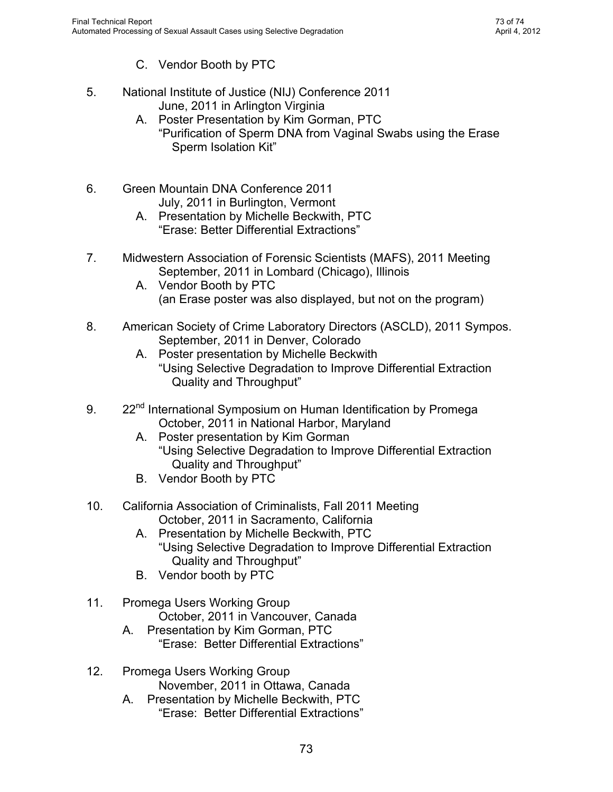## **VI. Dissemination of Research Findings**

This research has resulted in the refinement and validation of a more effective method for performing differential extraction of sexual assault evidence. PTC and the co-investigators under this grant have been very active in publicizing the resulting method, along with examples and explanations of the improved results from this method. Some of the publicity was structured into the grant, and much of it was provided voluntarily.

## **Seminars**

The selective degradation method of differential extraction was presented at the following seminars, either as a presentation to attendees, a poster or a vendor booth, or some combination of the three. Vendor booths made literature and additional information about selective degradation available to all attendees, in a setting that allowed all interested parties to ask questions and be given a full explanation, as well as to request a validation kit. For those unfamiliar with it, the Mid-America Forensic DNA Conference is an annual conference sponsored by PTC. It is attended by approximately one hundred DNA Criminalists each year, primarily from the Midwest.

- 1. 8<sup>th</sup> Annual Mid-America Forensic DNA Conference April, 2010 in Columbia, Missouri
	- A. Presentation by Dr. Alex Garvin (co-PI) "Purification of Sperm DNA from Vaginal Swabs using DN*ase*"
	- B. Vendor Booth by PTC
- 2. National Institute of Justice (NIJ) Conference 2010 June, 2010 in Arlington Virginia
	- A. Poster Presentation by Dr. Christian Carson (PI) "Purification of Sperm DNA from Vaginal Swabs using the Erase Sperm Isolation Kit"
- 3. 21<sup>st</sup> International Symposium on Human Identification by Promega October, 2010 in San Antonio, Texas
	- A. Poster presentation by Dr. Alex Garvin (co-PI) and Kim Gorman "Purification of Sperm DNA from Vaginal Swabs using the Erase Sperm Isolation Kit"
	- B. Vendor Booth by PTC
- 4. 9<sup>th</sup> Annual Mid-America Forensic DNA Conference
	- April, 2011 in Columbia, Missouri
	- A. Presentation by Kim Gorman, PTC "Erase: Better Differential Extractions"
	- B. Validation Presentation by Kathy Press, Arizona Department of Public Service, Central Regional Crime Laboratory, Phoenix "Laboratory Validation of Erase for Differential Extractions"

This document is a research report submitted to the U.S. Department of Justice. This report has not been published by the Department. Opinions or points of view expressed are those of the author(s) and do not necessarily reflect the official position or policies of the U.S. Department of Justice.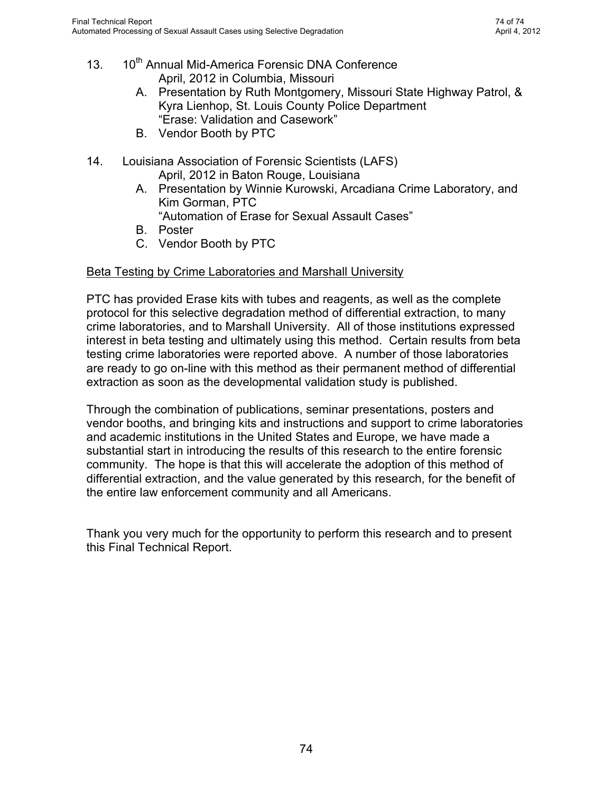- C. Vendor Booth by PTC
- 5. National Institute of Justice (NIJ) Conference 2011 June, 2011 in Arlington Virginia
	- A. Poster Presentation by Kim Gorman, PTC "Purification of Sperm DNA from Vaginal Swabs using the Erase Sperm Isolation Kit"
- 6. Green Mountain DNA Conference 2011 July, 2011 in Burlington, Vermont
	- A. Presentation by Michelle Beckwith, PTC "Erase: Better Differential Extractions"
- 7. Midwestern Association of Forensic Scientists (MAFS), 2011 Meeting September, 2011 in Lombard (Chicago), Illinois
	- A. Vendor Booth by PTC (an Erase poster was also displayed, but not on the program)
- 8. American Society of Crime Laboratory Directors (ASCLD), 2011 Sympos. September, 2011 in Denver, Colorado
	- A. Poster presentation by Michelle Beckwith "Using Selective Degradation to Improve Differential Extraction Quality and Throughput"
- 9. 22<sup>nd</sup> International Symposium on Human Identification by Promega October, 2011 in National Harbor, Maryland
	- A. Poster presentation by Kim Gorman "Using Selective Degradation to Improve Differential Extraction Quality and Throughput"
	- B. Vendor Booth by PTC
- 10. California Association of Criminalists, Fall 2011 Meeting October, 2011 in Sacramento, California
	- A. Presentation by Michelle Beckwith, PTC "Using Selective Degradation to Improve Differential Extraction Quality and Throughput"
	- B. Vendor booth by PTC
- 11. Promega Users Working Group October, 2011 in Vancouver, Canada
	- A. Presentation by Kim Gorman, PTC "Erase: Better Differential Extractions"
- 12. Promega Users Working Group November, 2011 in Ottawa, Canada
	- A. Presentation by Michelle Beckwith, PTC "Erase: Better Differential Extractions"